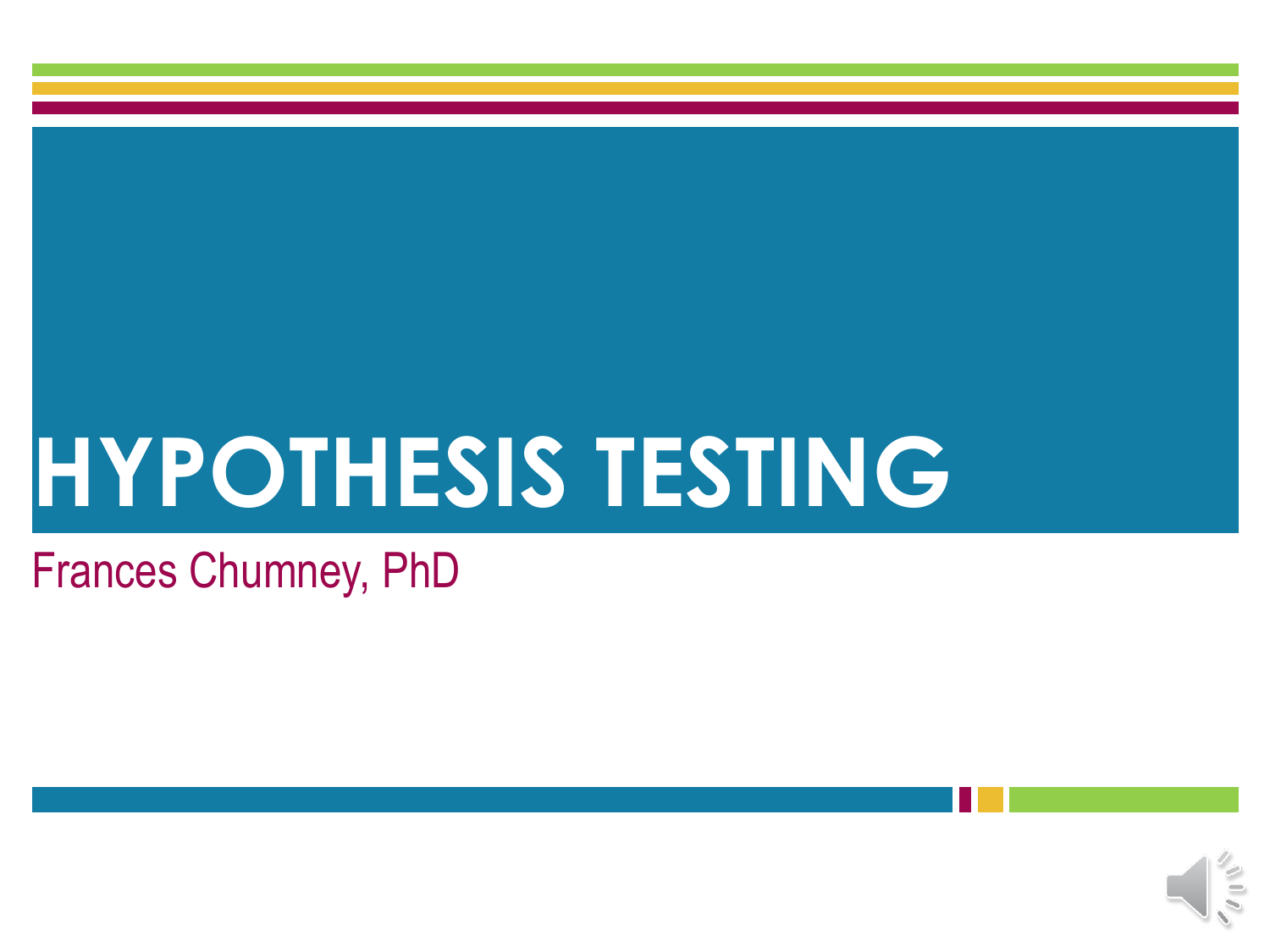# **HYPOTHESIS TESTING**

#### Frances Chumney, PhD

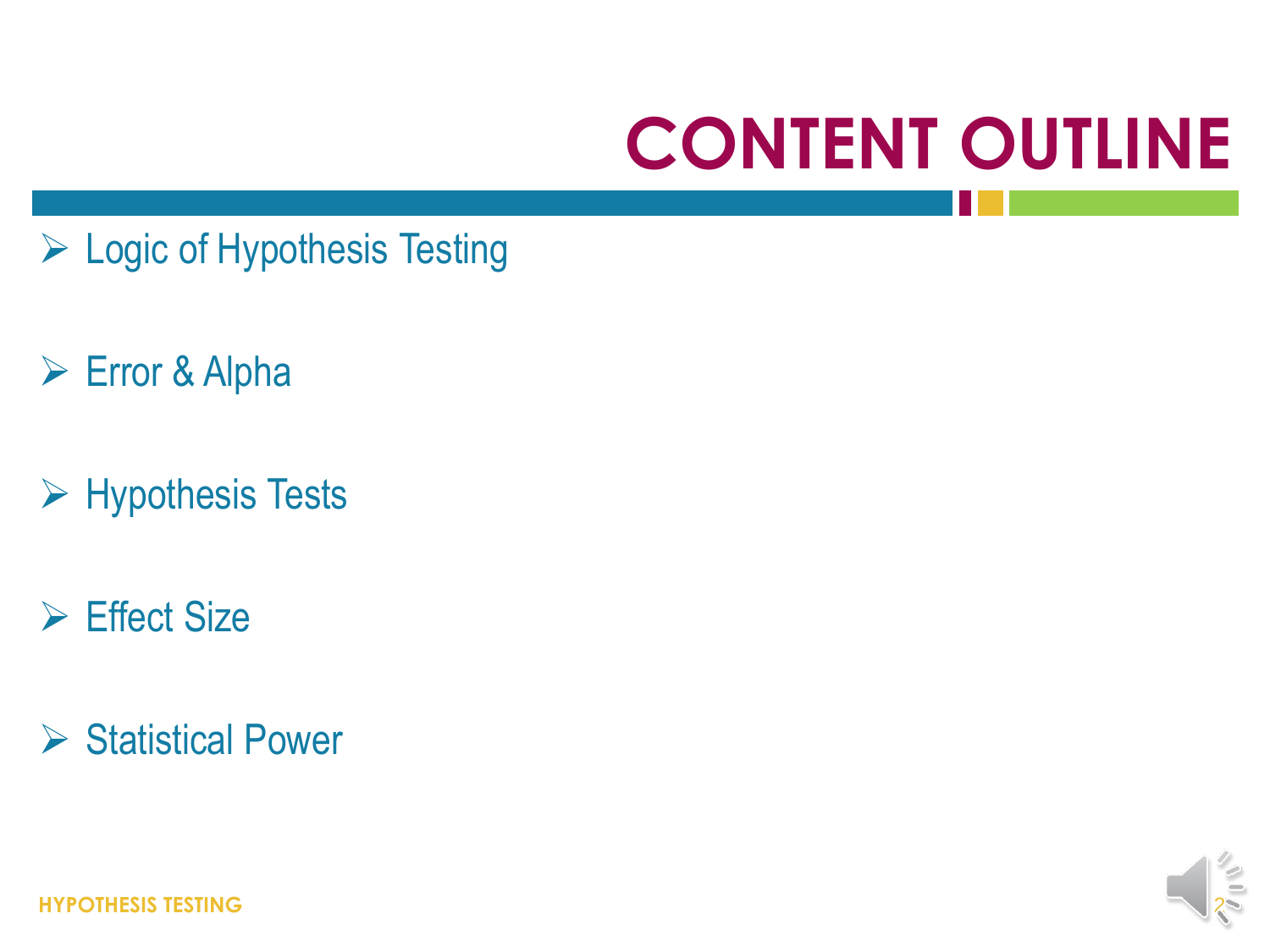# **CONTENT OUTLINE**

- ▶ Logic of Hypothesis Testing
- Error & Alpha
- $\triangleright$  Hypothesis Tests
- $\triangleright$  Effect Size
- $\triangleright$  Statistical Power



**HYPOTHESIS TESTING** 2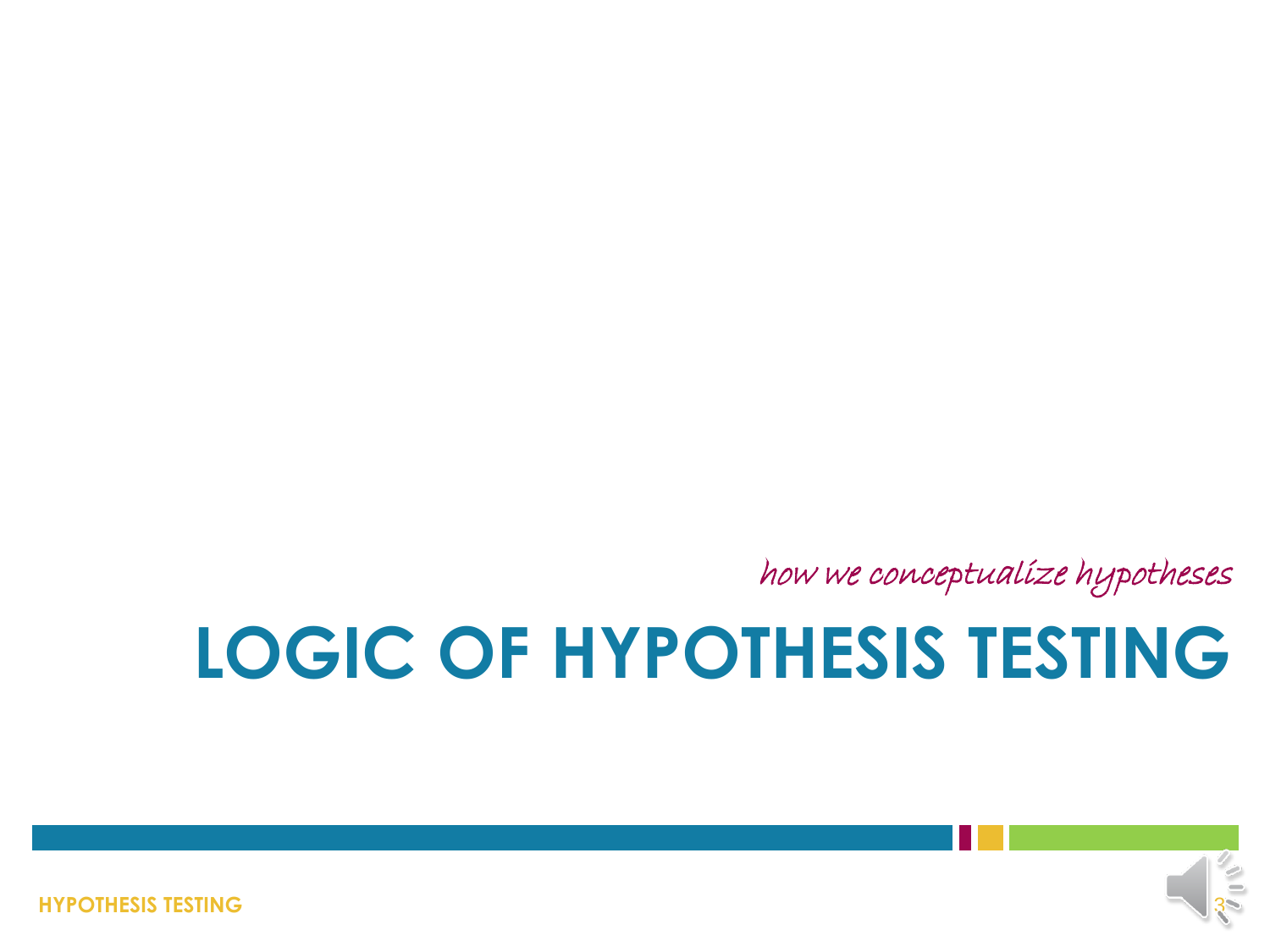**HYPOTHESIS TESTING**



# **LOGIC OF HYPOTHESIS TESTING**

how we conceptualize hypotheses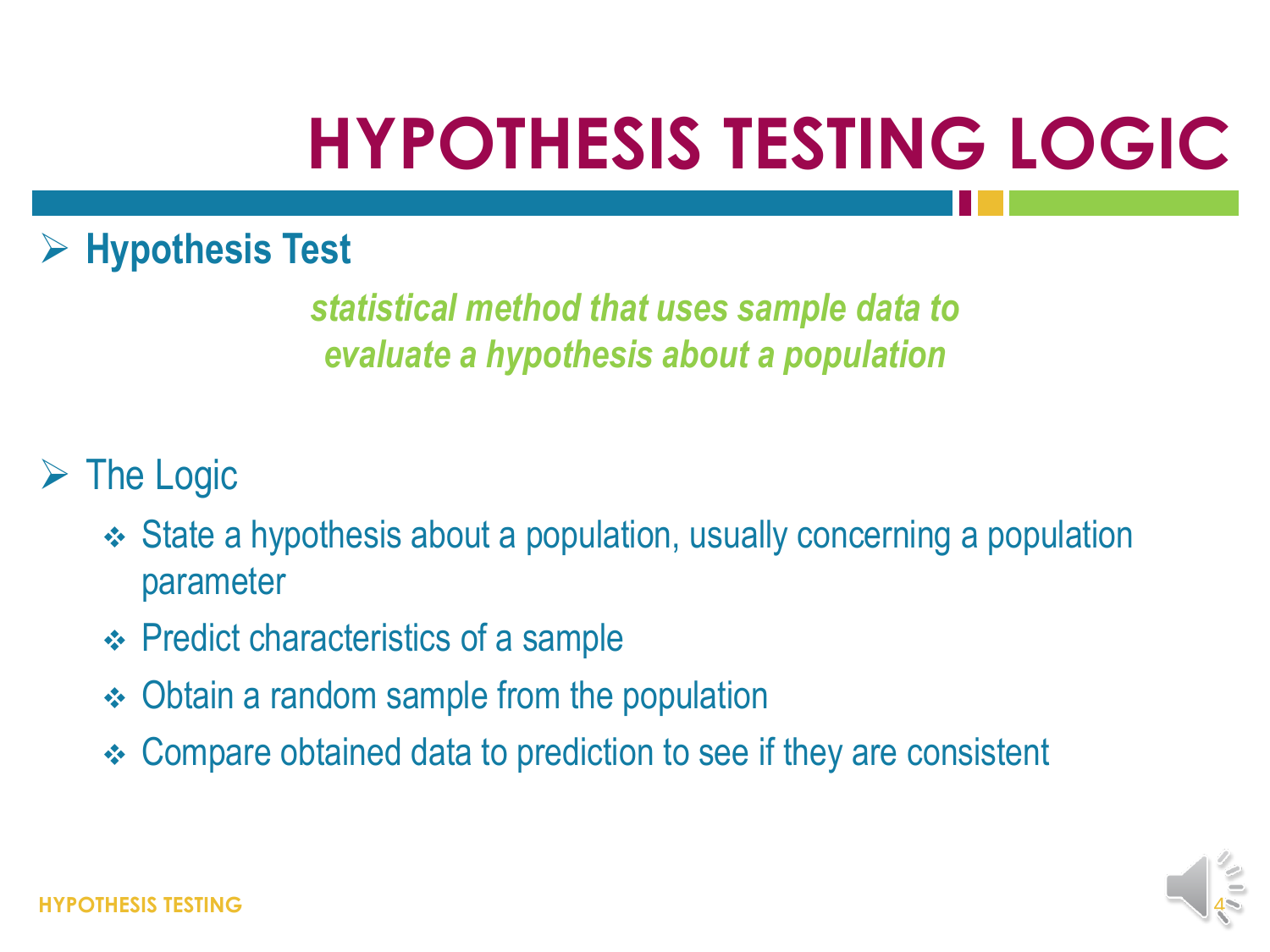### **HYPOTHESIS TESTING LOGIC**

#### **Hypothesis Test**

*statistical method that uses sample data to evaluate a hypothesis about a population*

#### $\triangleright$  The Logic

- State a hypothesis about a population, usually concerning a population parameter
- **← Predict characteristics of a sample**
- Obtain a random sample from the population
- Compare obtained data to prediction to see if they are consistent

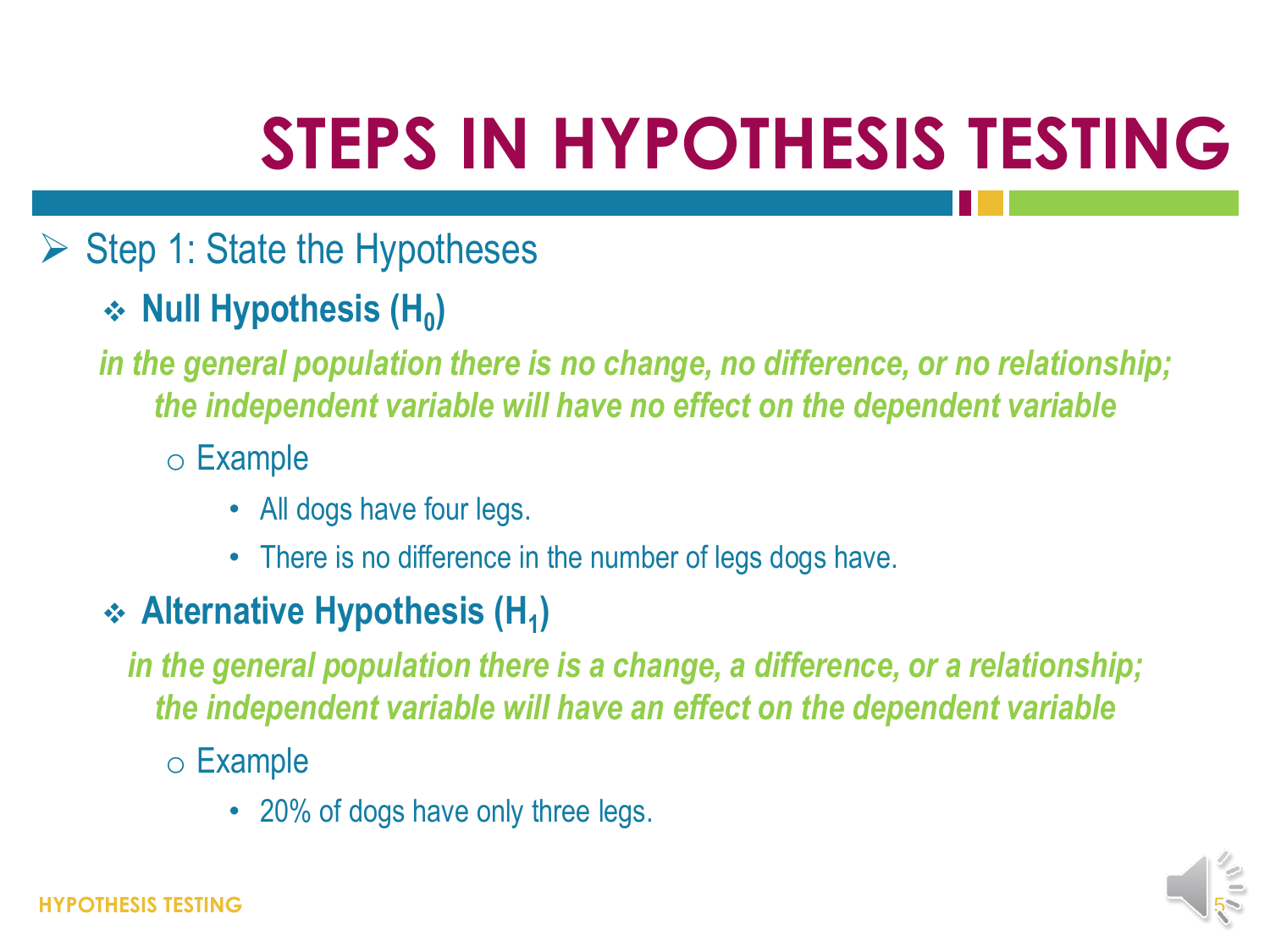# **STEPS IN HYPOTHESIS TESTING**

- $\triangleright$  Step 1: State the Hypotheses
	- **→ Null Hypothesis (H<sub>0</sub>)**

*in the general population there is no change, no difference, or no relationship; the independent variable will have no effect on the dependent variable*

- o Example
	- All dogs have four legs.
	- There is no difference in the number of legs dogs have.
- **Alternative Hypothesis (H<sup>1</sup> )**

*in the general population there is a change, a difference, or a relationship; the independent variable will have an effect on the dependent variable*

- o Example
	- 20% of dogs have only three legs.

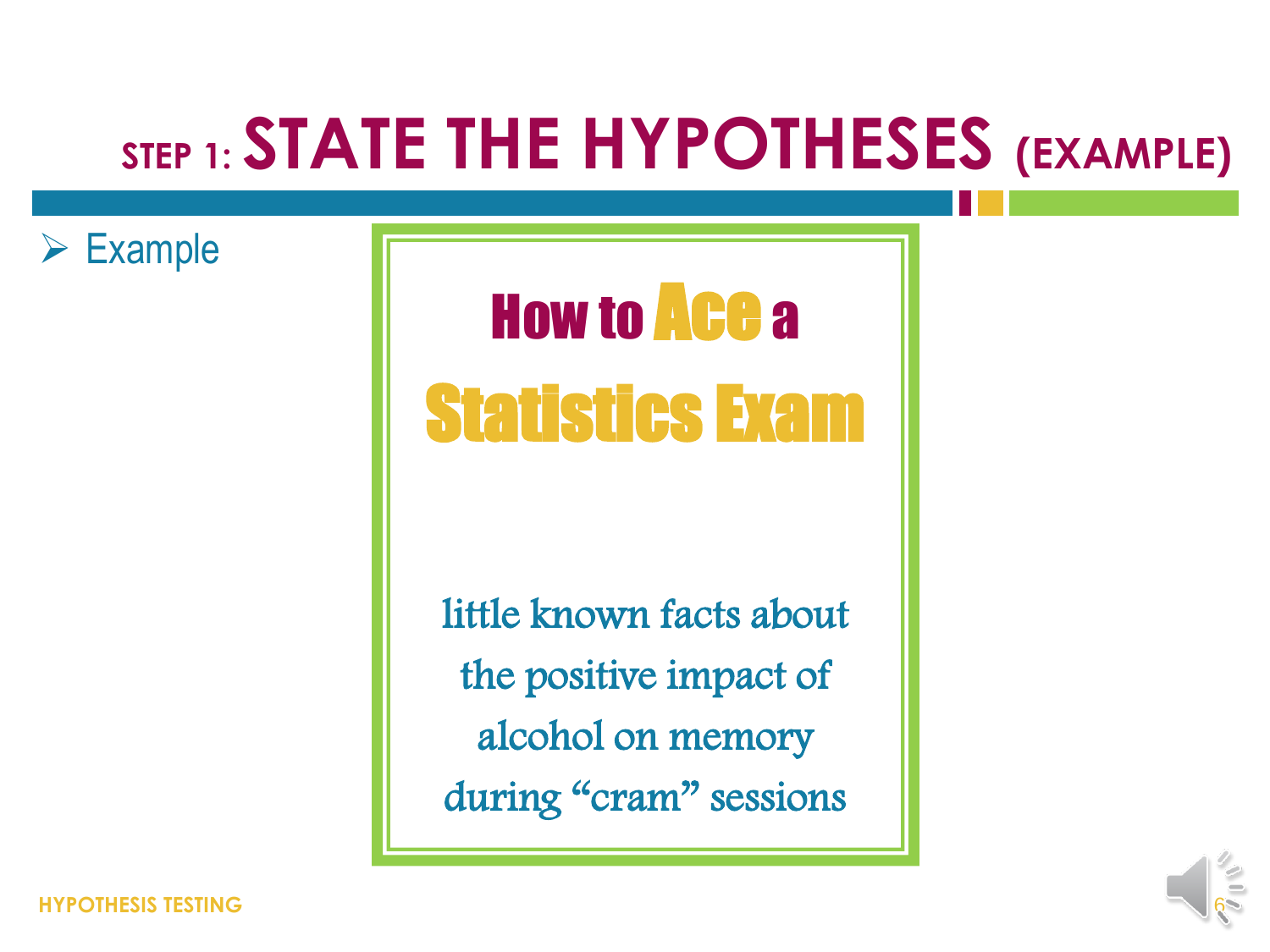### **STEP 1: STATE THE HYPOTHESES (EXAMPLE)**

 $\triangleright$  Example

# How to Ace a Statistics Exam

little known facts about the positive impact of alcohol on memory during "cram" sessions

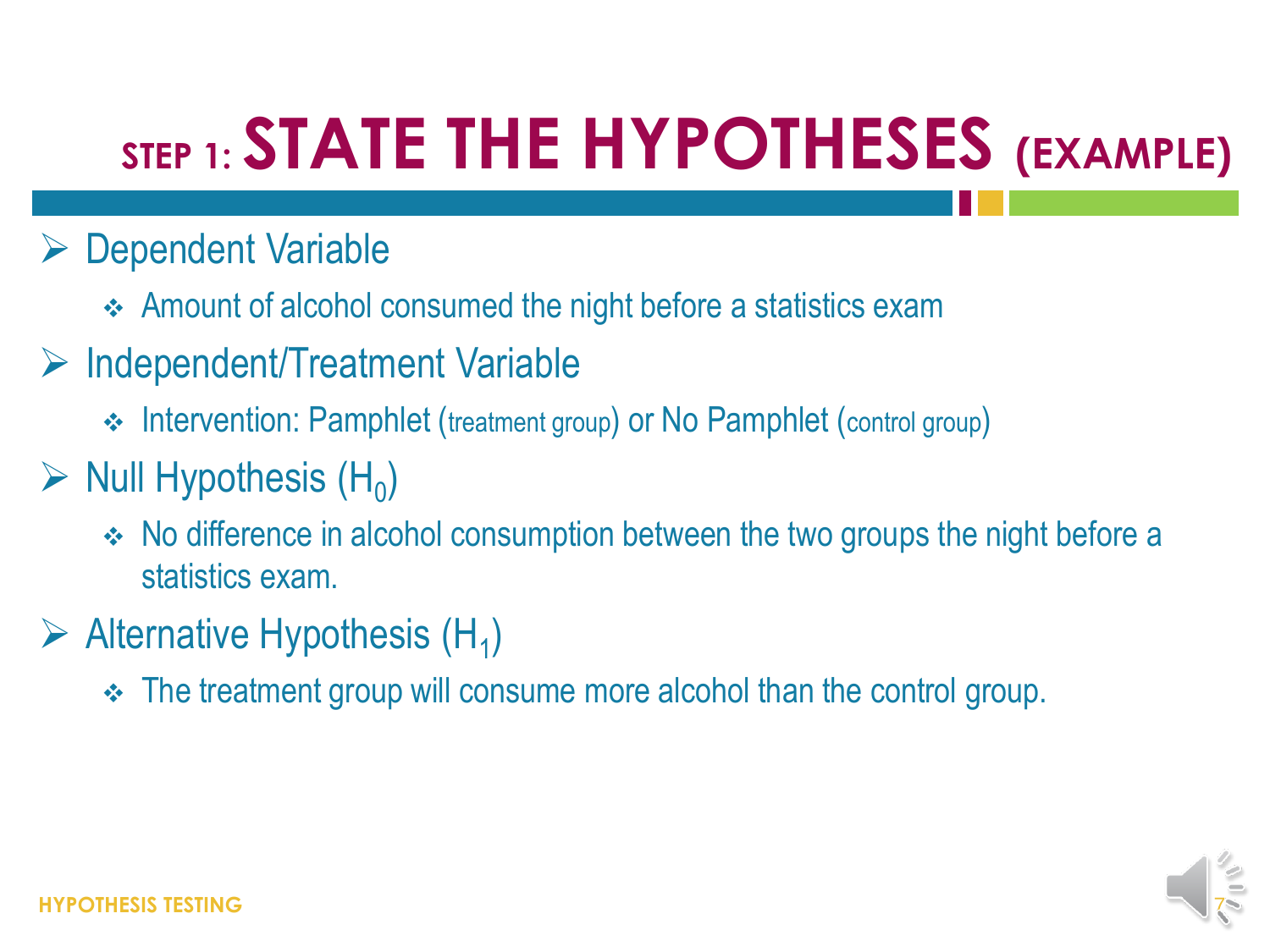## **STEP 1: STATE THE HYPOTHESES (EXAMPLE)**

- **► Dependent Variable** 
	- Amount of alcohol consumed the night before a statistics exam
- $\triangleright$  Independent/Treatment Variable
	- Intervention: Pamphlet (treatment group) or No Pamphlet (control group)

#### $\triangleright$  Null Hypothesis (H<sub>0</sub>)

- No difference in alcohol consumption between the two groups the night before a statistics exam.
- $\triangleright$  Alternative Hypothesis (H<sub>1</sub>)
	- The treatment group will consume more alcohol than the control group.

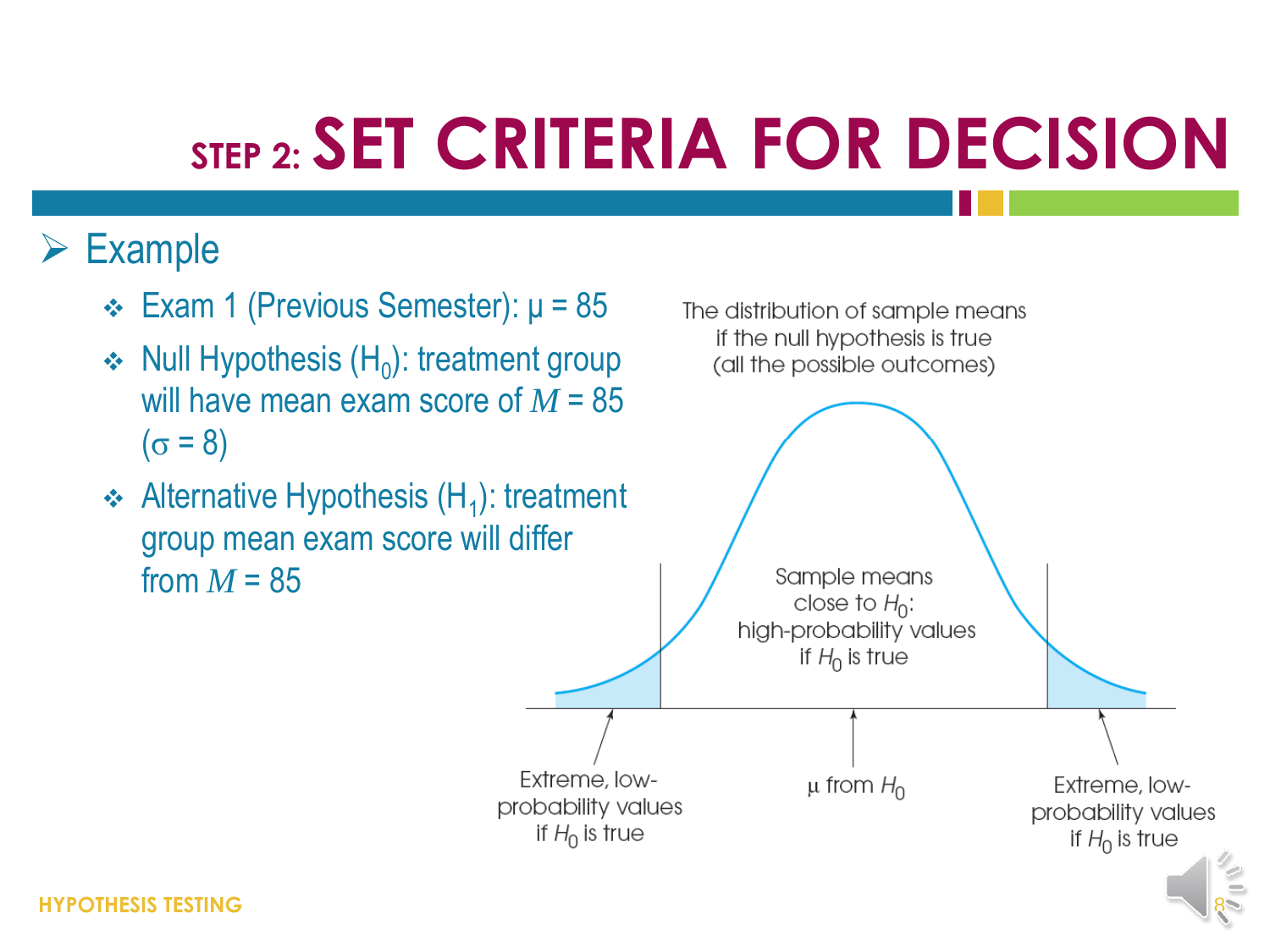#### $\triangleright$  Example

- $\div$  Exam 1 (Previous Semester):  $\mu$  = 85
- $\div$  Null Hypothesis (H<sub>0</sub>): treatment group will have mean exam score of *M* = 85  $(\sigma = 8)$
- $\triangleleft$  Alternative Hypothesis (H<sub>1</sub>): treatment group mean exam score will differ from  $M = 85$



8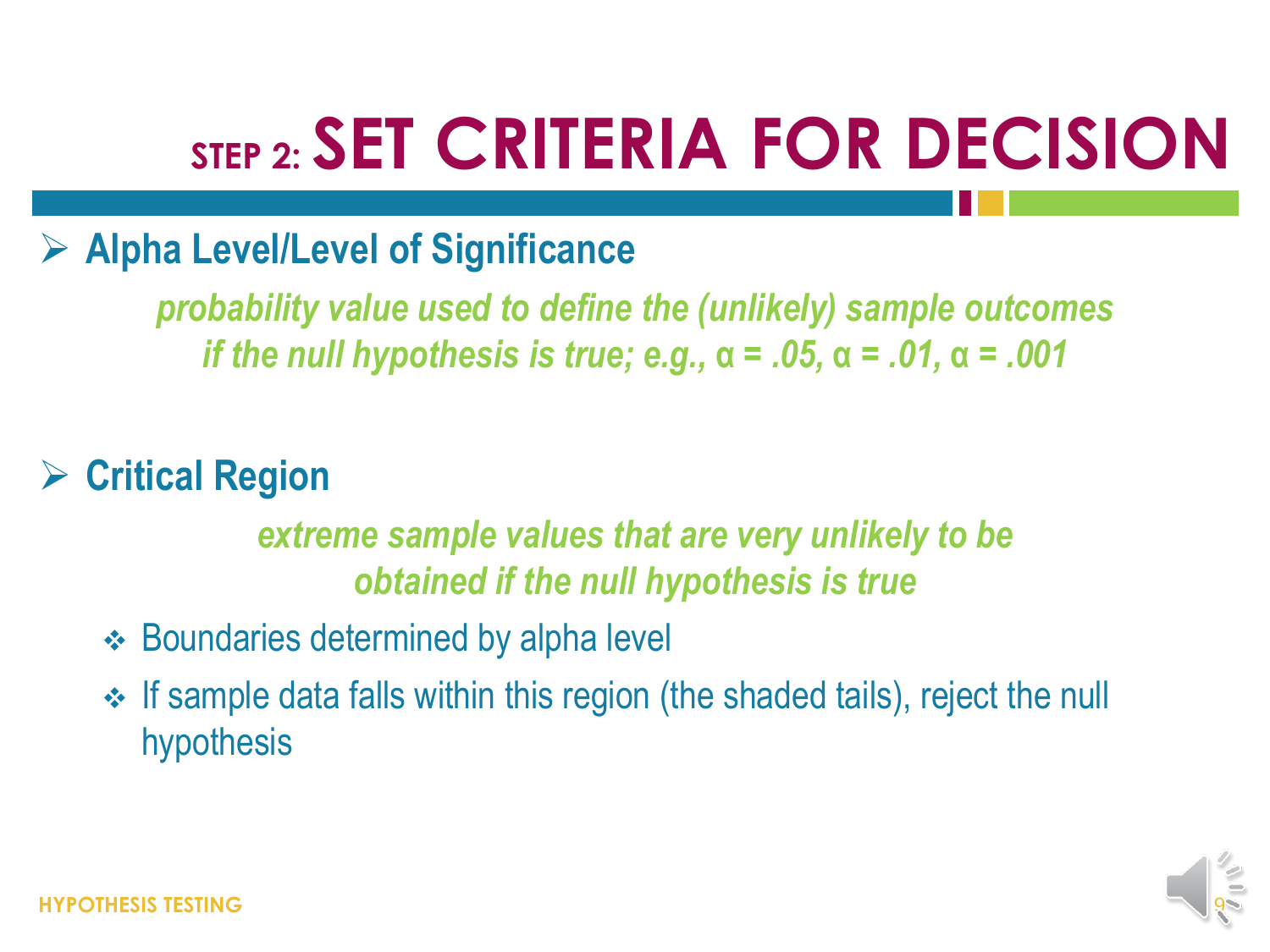#### **Alpha Level/Level of Significance**

*probability value used to define the (unlikely) sample outcomes if the null hypothesis is true; e.g.,* **α** *= .05,* **α** *= .01,* **α** *= .001*

#### **Critical Region**

#### *extreme sample values that are very unlikely to be obtained if the null hypothesis is true*

- **Boundaries determined by alpha level**
- If sample data falls within this region (the shaded tails), reject the null hypothesis

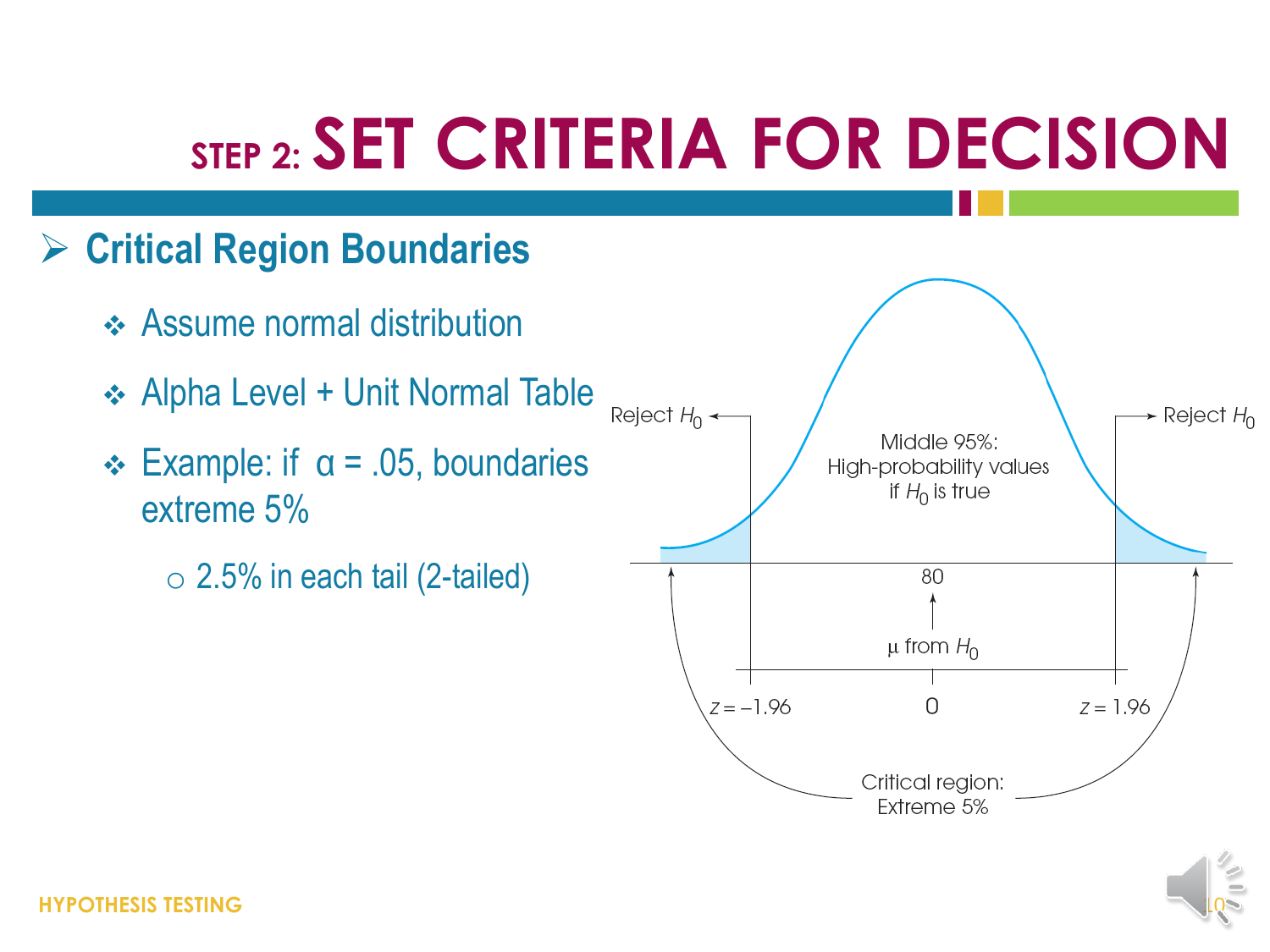#### **Critical Region Boundaries**

- **↑ Assume normal distribution**
- Alpha Level + Unit Normal Table
- extreme 5%
	- $\circ$  2.5% in each tail (2-tailed)



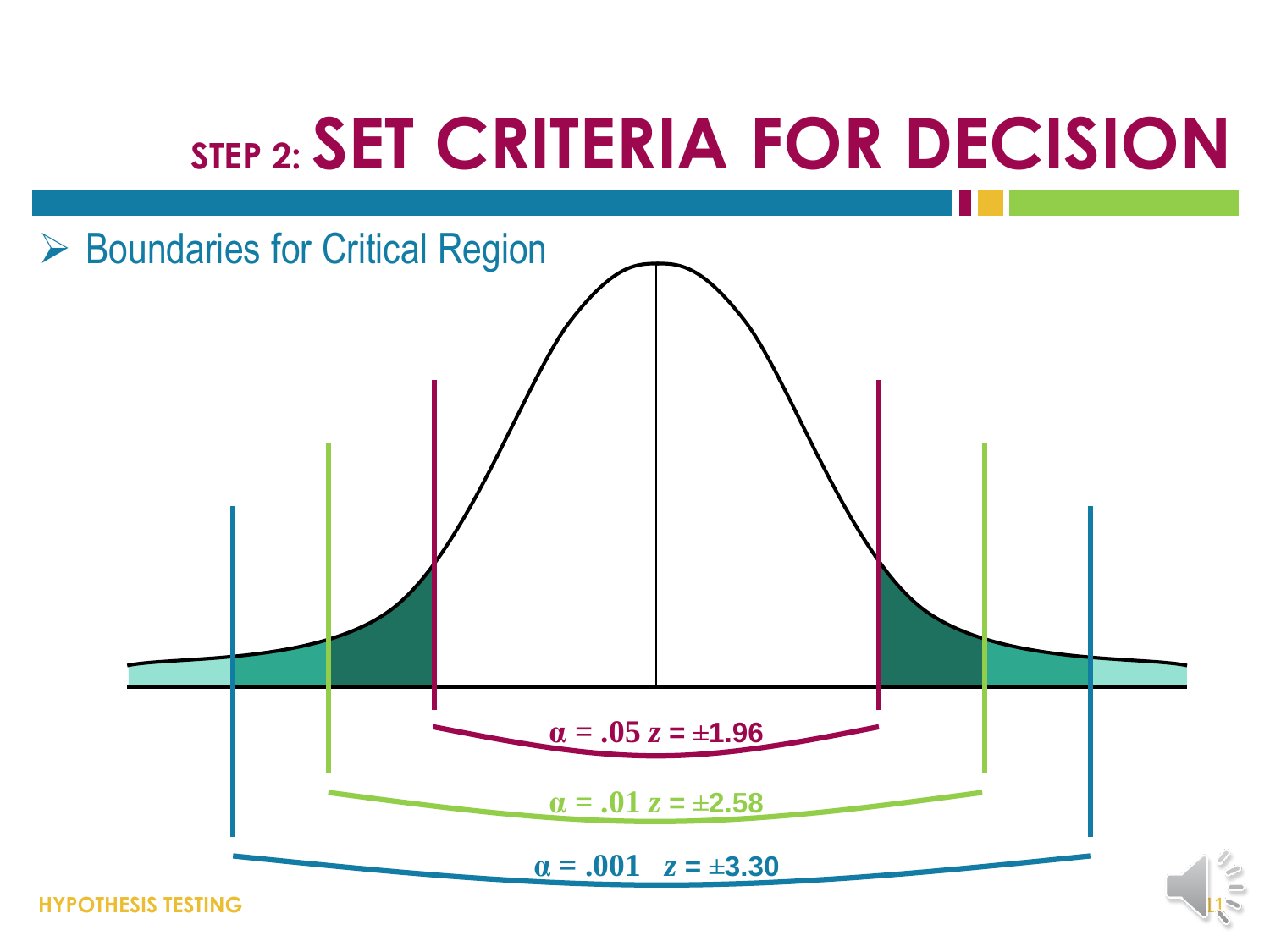

**HYPOTHESIS TESTING**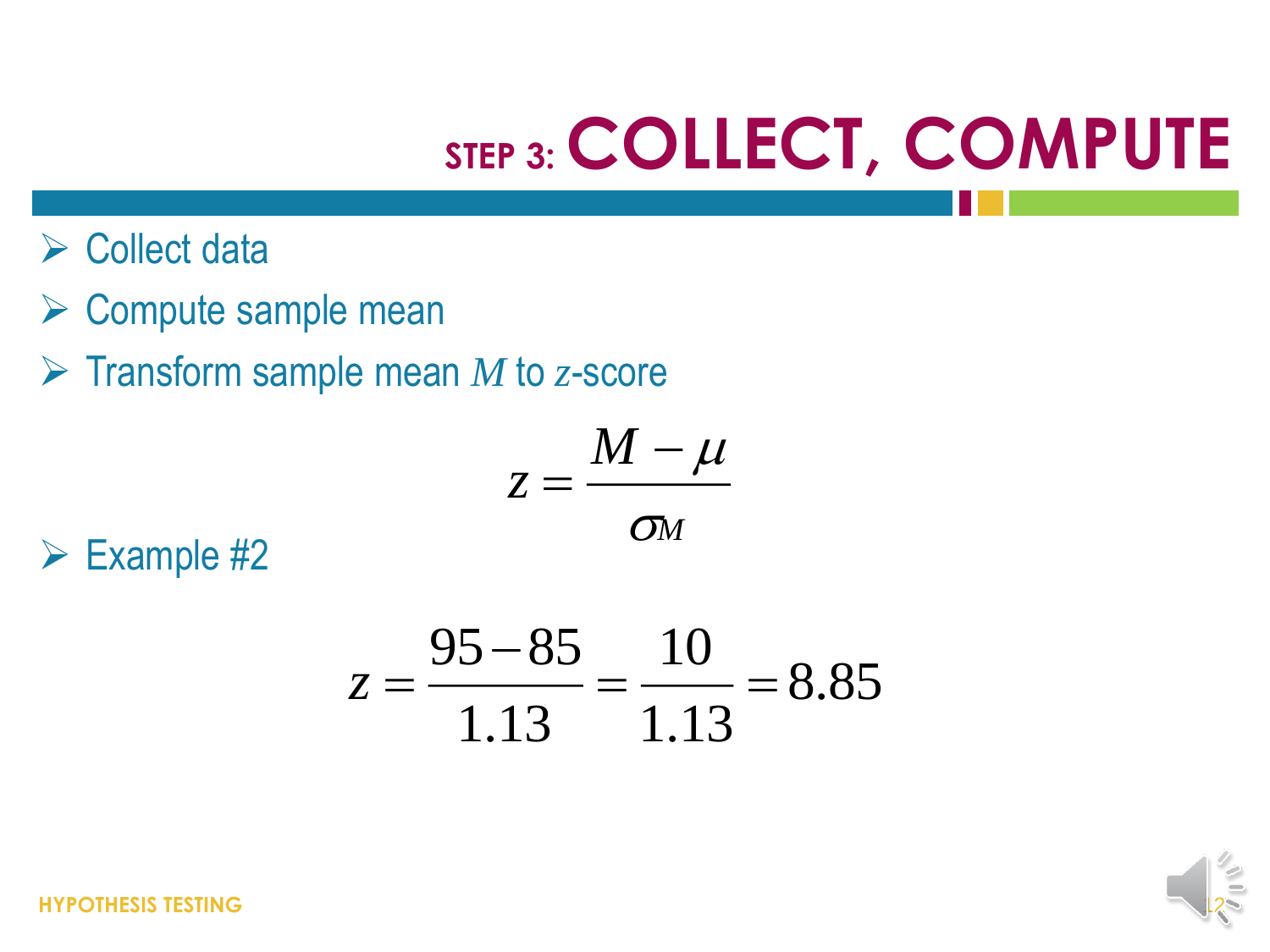# **STEP 3: COLLECT, COMPUTE**

- $\triangleright$  Collect data
- **► Compute sample mean**
- Transform sample mean *M* to *z*-score

$$
z=\frac{M-\mu}{\sigma_M}
$$

 $\triangleright$  Example #2

$$
z = \frac{95 - 85}{1.13} = \frac{10}{1.13} = 8.85
$$

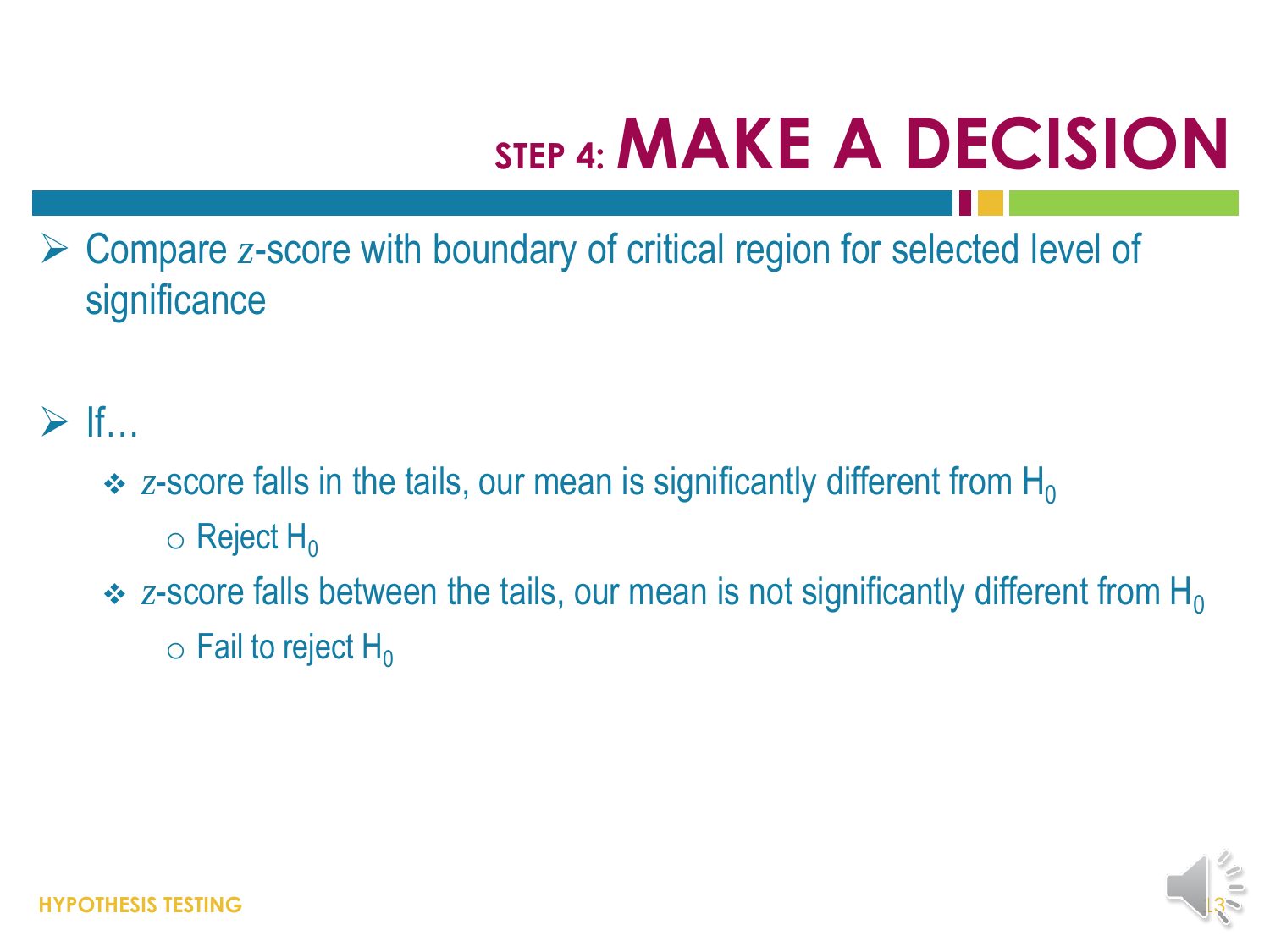# **STEP 4: MAKE A DECISION**

 Compare *z*-score with boundary of critical region for selected level of **significance** 

#### $\triangleright$  If…

- $\div$  z-score falls in the tails, our mean is significantly different from H<sub>0</sub>
	- $\circ$  Reject H<sub>0</sub>
- $\cdot$  z-score falls between the tails, our mean is not significantly different from H<sub>0</sub>  $\circ$  Fail to reject H<sub>0</sub>

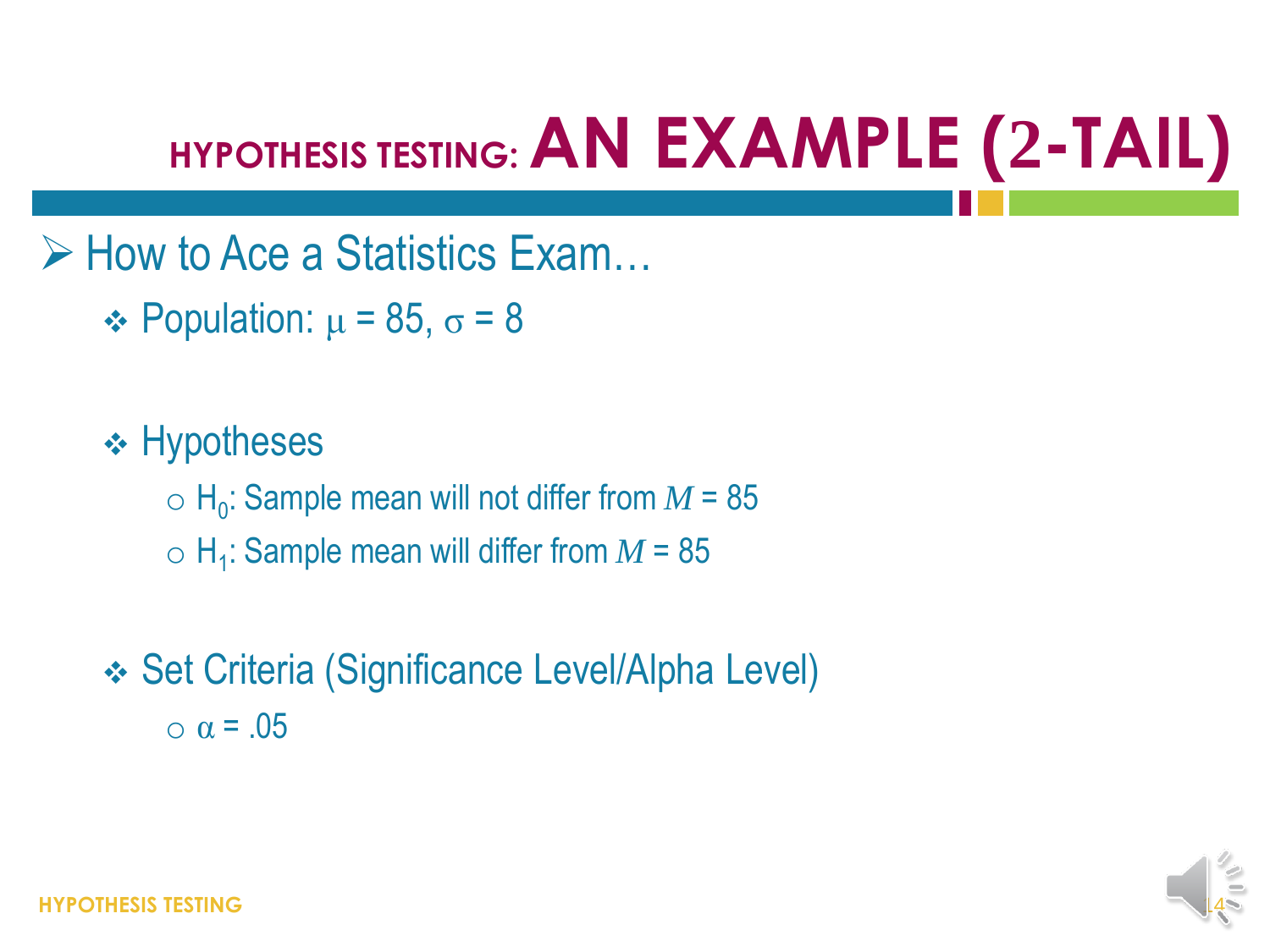### **HYPOTHESIS TESTING: AN EXAMPLE (2-TAIL)**

 $\triangleright$  How to Ace a Statistics Exam...

 $\div$  Population:  $\mu$  = 85,  $\sigma$  = 8

 $\div$  Hypotheses  $\circ$  H<sub>0</sub>: Sample mean will not differ from  $M$  = 85  $\circ$  H<sub>1</sub>: Sample mean will differ from  $M$  = 85

 Set Criteria (Significance Level/Alpha Level)  $\alpha$  = .05

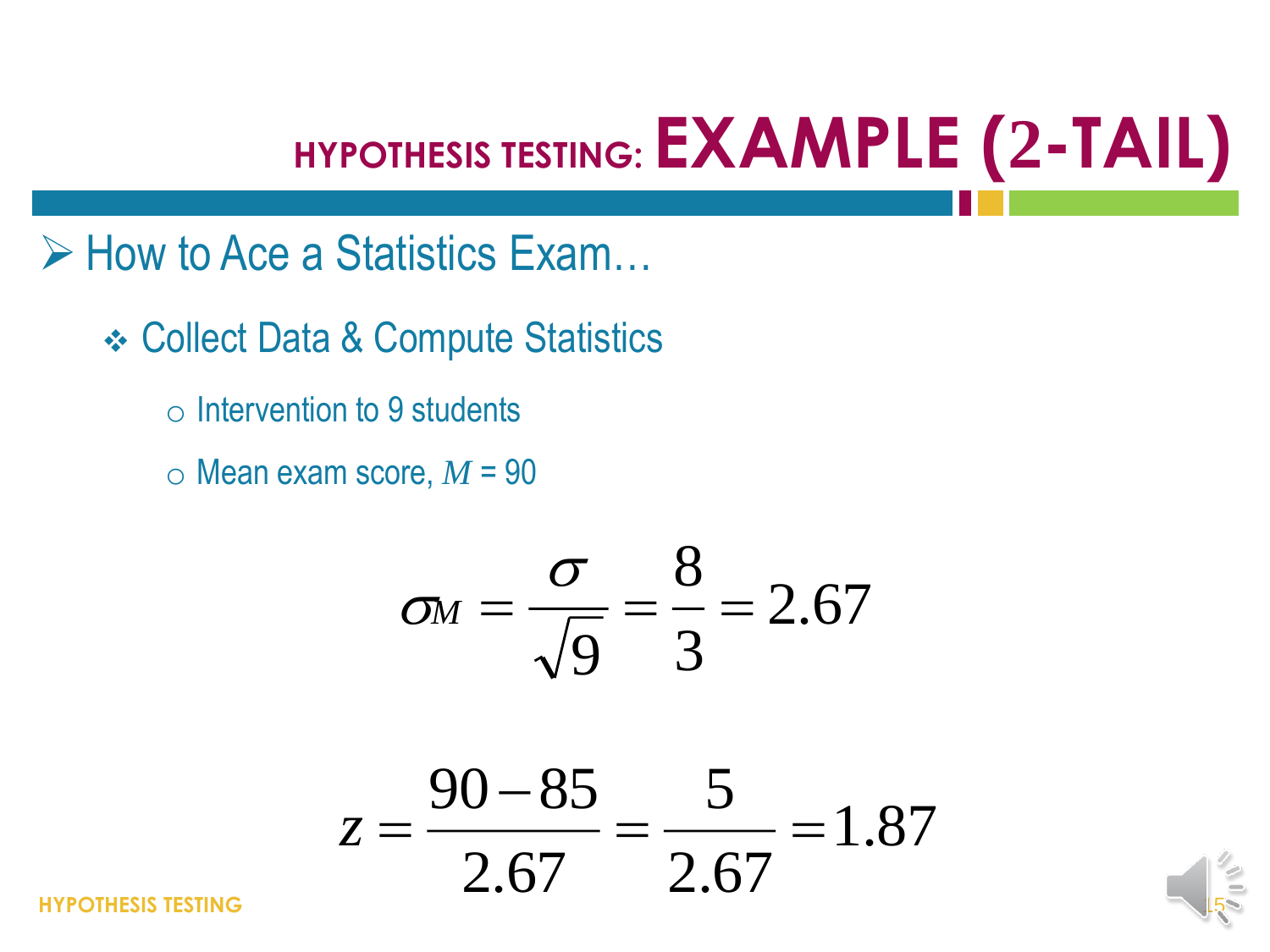### **HYPOTHESIS TESTING: EXAMPLE (2-TAIL)**

 $\triangleright$  How to Ace a Statistics Exam...

 **❖ Collect Data & Compute Statistics** 

- $\circ$  Intervention to 9 students
- $\circ$  Mean exam score,  $M = 90$

$$
\sigma_M=\frac{\sigma}{\sqrt{9}}=\frac{8}{3}=2.67
$$

$$
\sigma_M = \frac{6}{\sqrt{9}} = \frac{3}{3} = 2.67
$$
  

$$
z = \frac{90 - 85}{2.67} = \frac{5}{2.67} = 1.87
$$

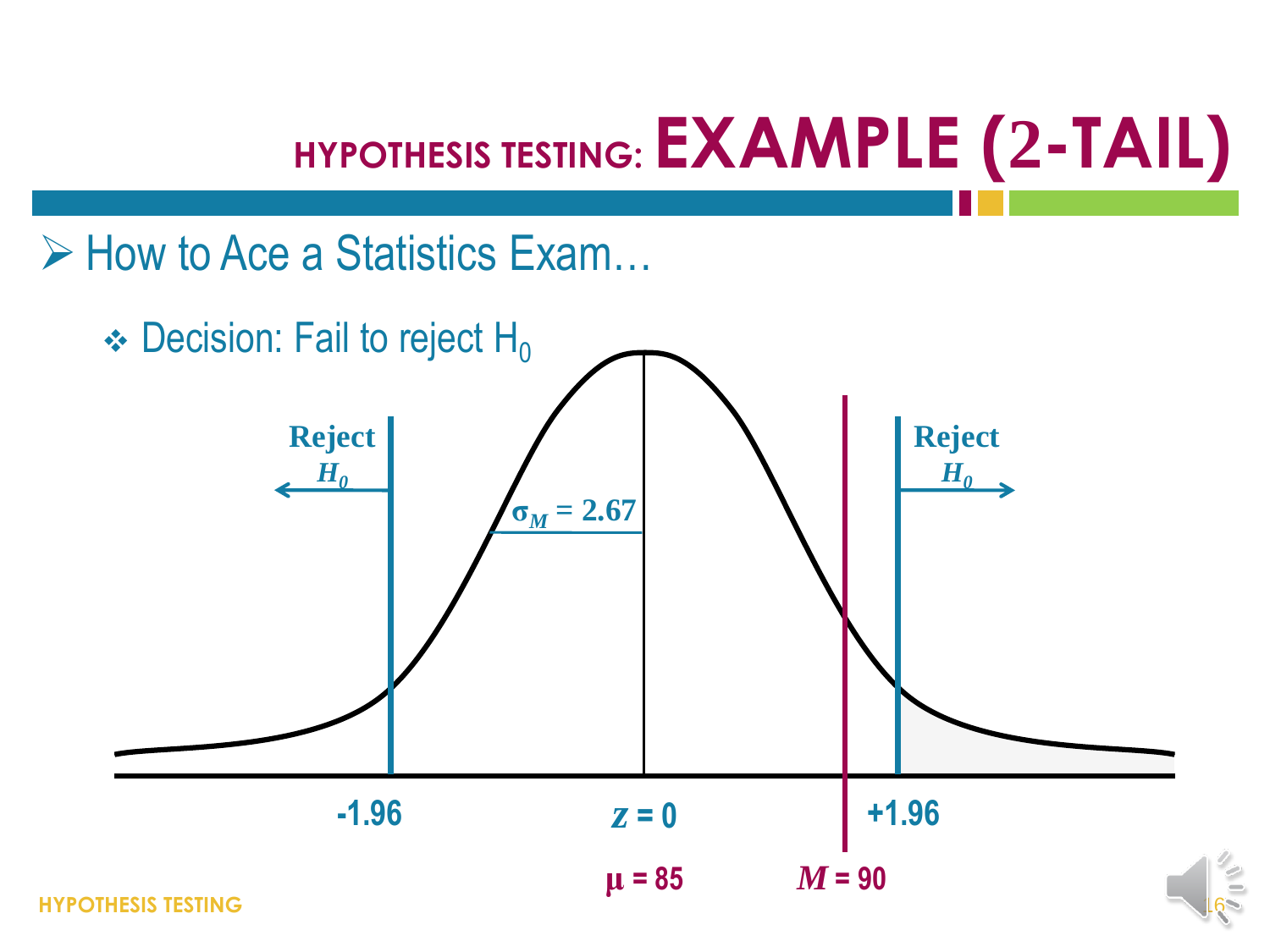# **HYPOTHESIS TESTING: EXAMPLE (2-TAIL)**

 $\triangleright$  How to Ace a Statistics Exam...

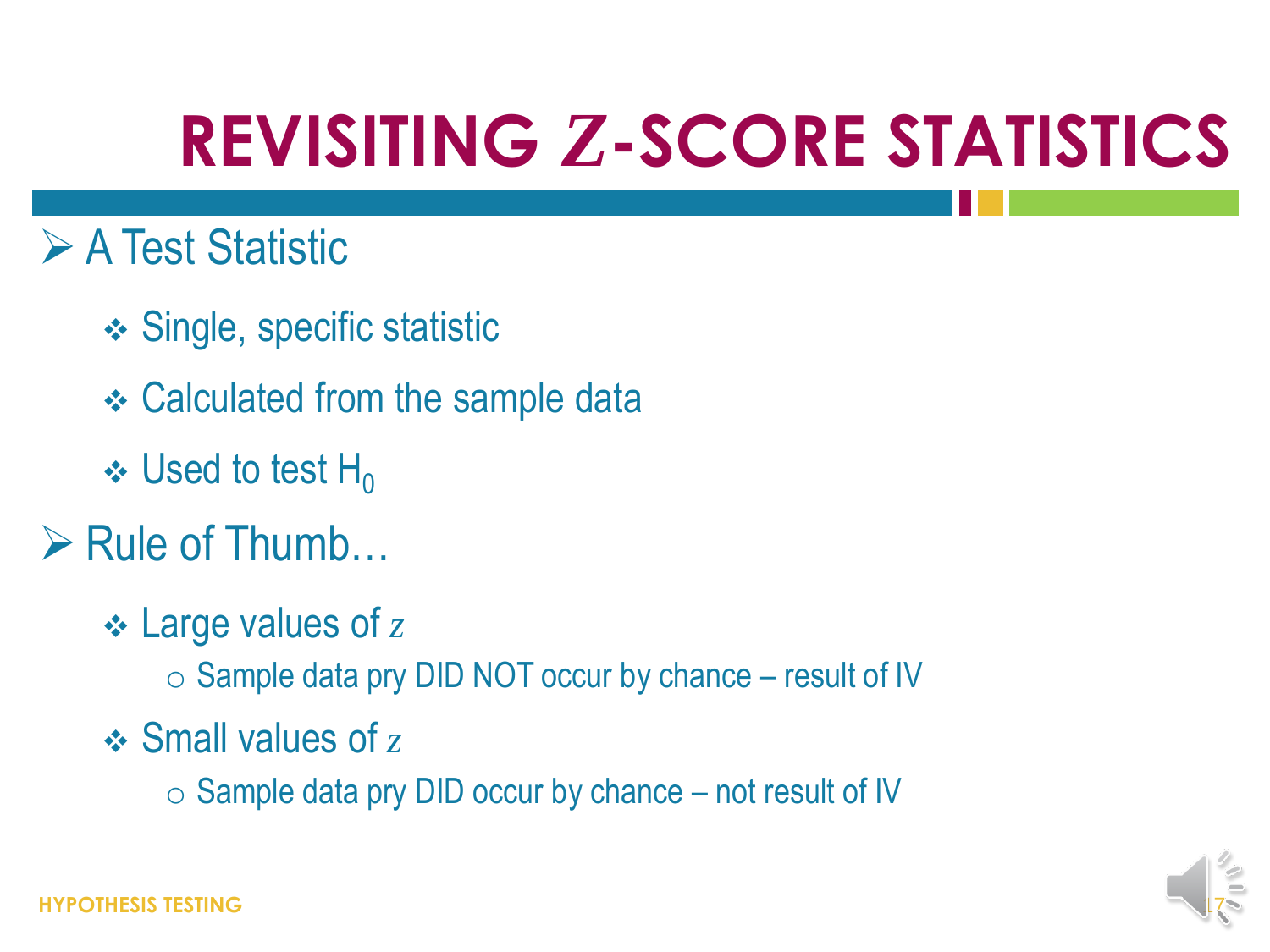## **REVISITING** *Z***-SCORE STATISTICS**

- **≻ A Test Statistic** 
	- Single, specific statistic
	- **❖ Calculated from the sample data**
	- $\cdot$  Used to test H<sub>0</sub>
- $\triangleright$  Rule of Thumb...
	- Large values of *z*
		- $\circ$  Sample data pry DID NOT occur by chance result of IV
	- Small values of *z*
		- $\circ$  Sample data pry DID occur by chance not result of IV

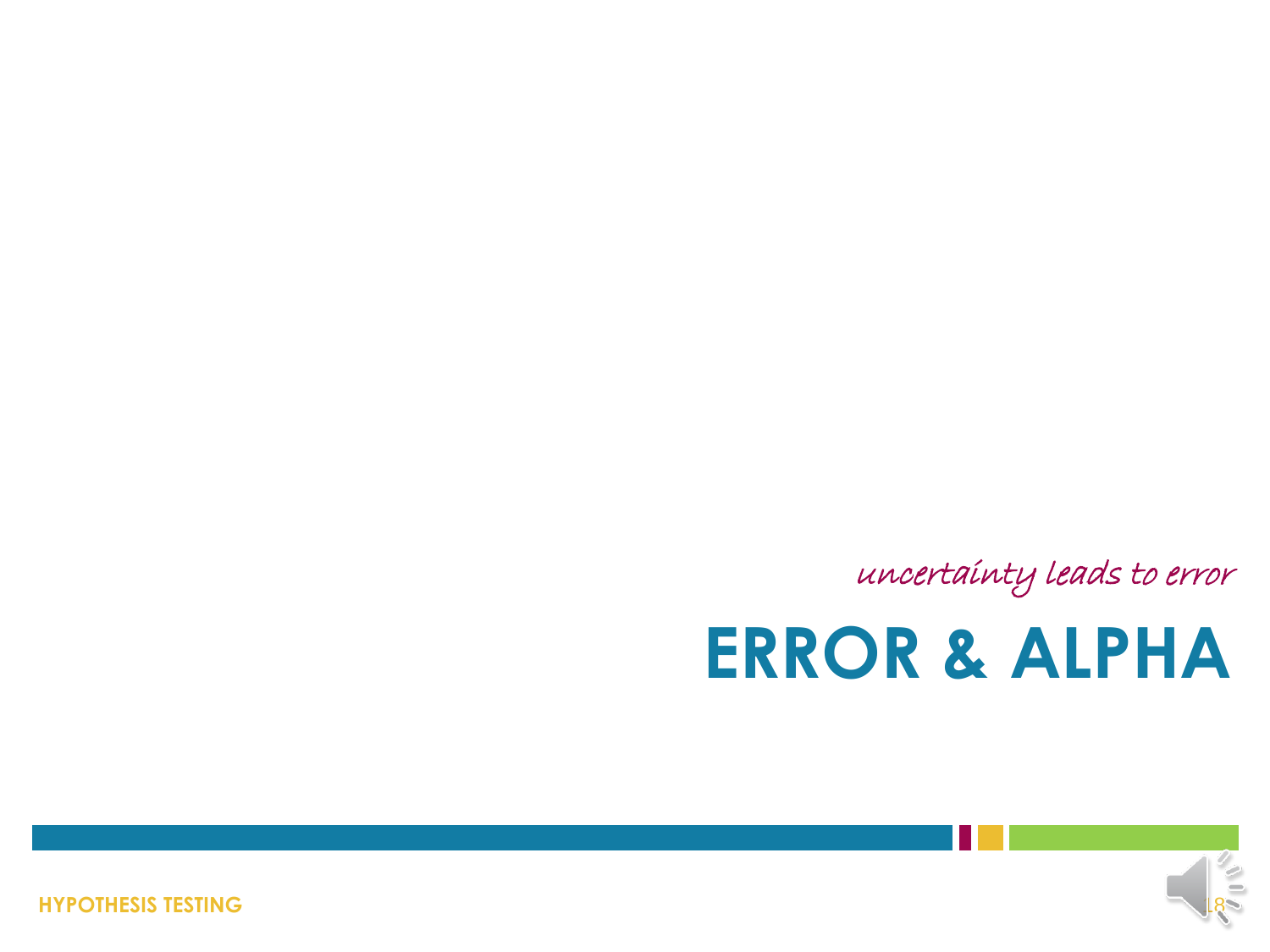**HYPOTHESIS TESTING**



# **ERROR & ALPHA**

uncertainty leads to error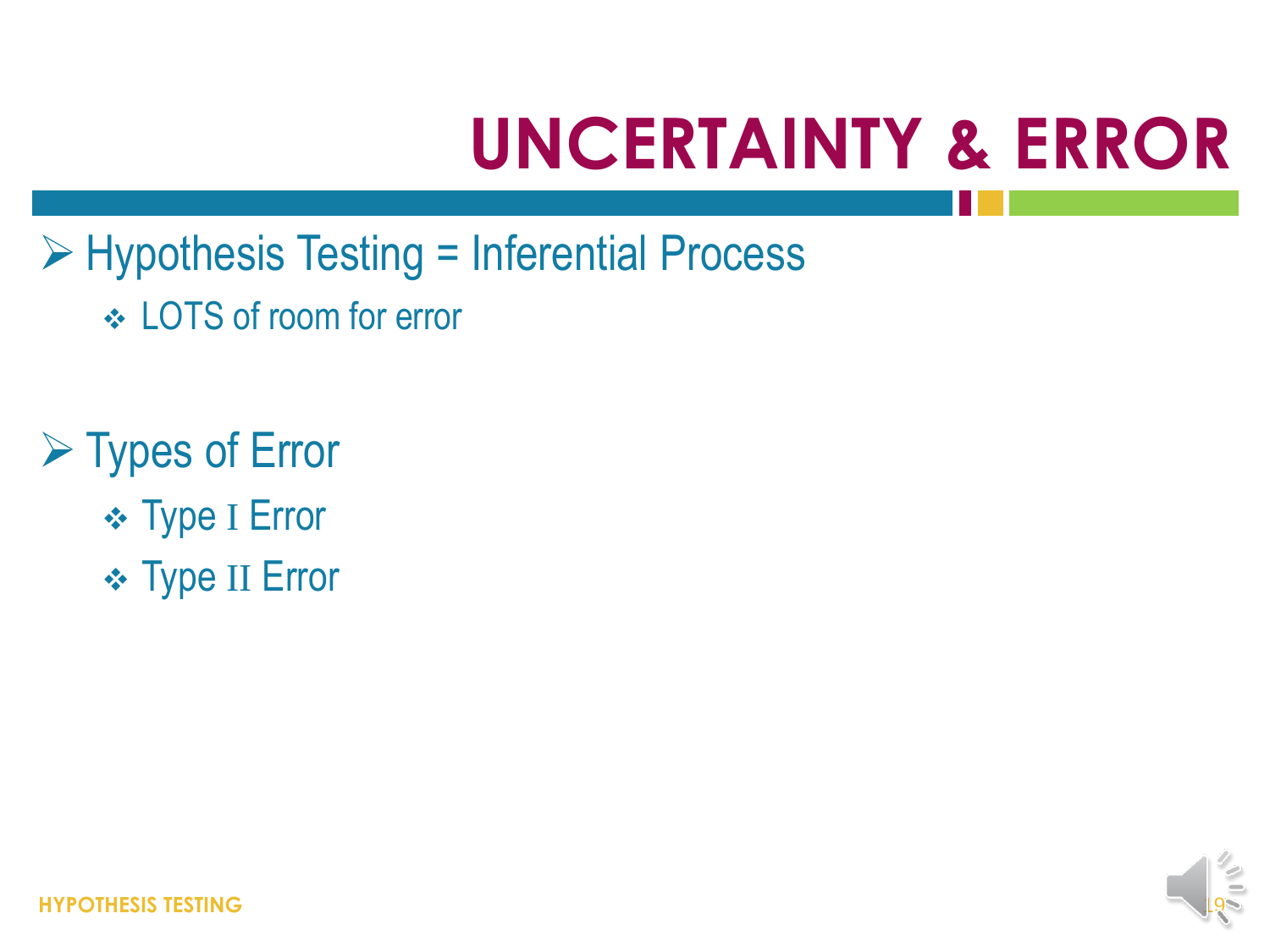# **UNCERTAINTY & ERROR**

- Hypothesis Testing = Inferential Process
	- LOTS of room for error
- **► Types of Error** 
	- **\* Type I Error**
	- **\* Type II Error**

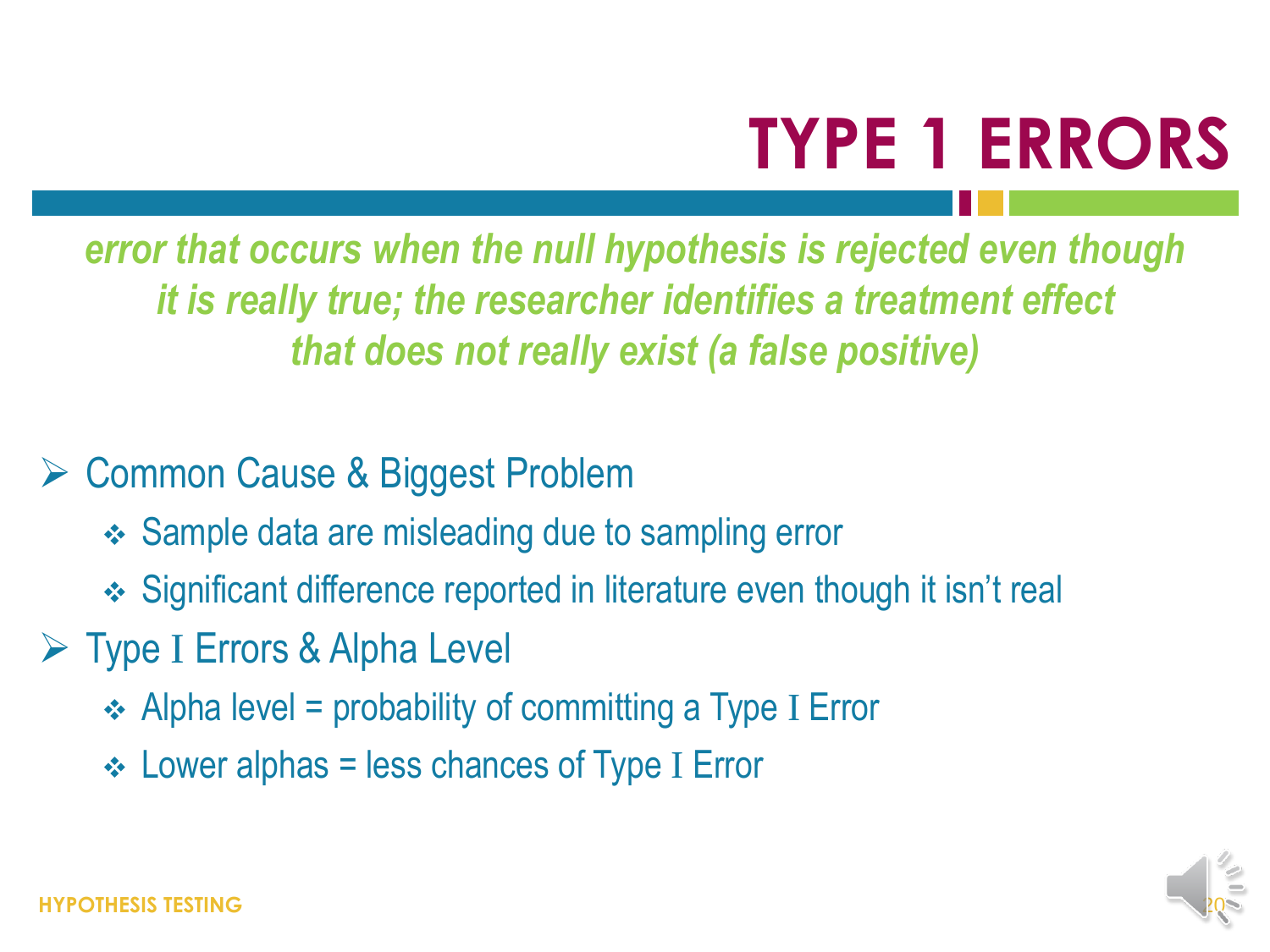## **TYPE 1 ERRORS**

*error that occurs when the null hypothesis is rejected even though it is really true; the researcher identifies a treatment effect that does not really exist (a false positive)*

#### **► Common Cause & Biggest Problem**

- **❖ Sample data are misleading due to sampling error**
- Significant difference reported in literature even though it isn't real
- Type I Errors & Alpha Level
	- $\div$  Alpha level = probability of committing a Type I Error
	- $\div$  Lower alphas = less chances of Type I Error

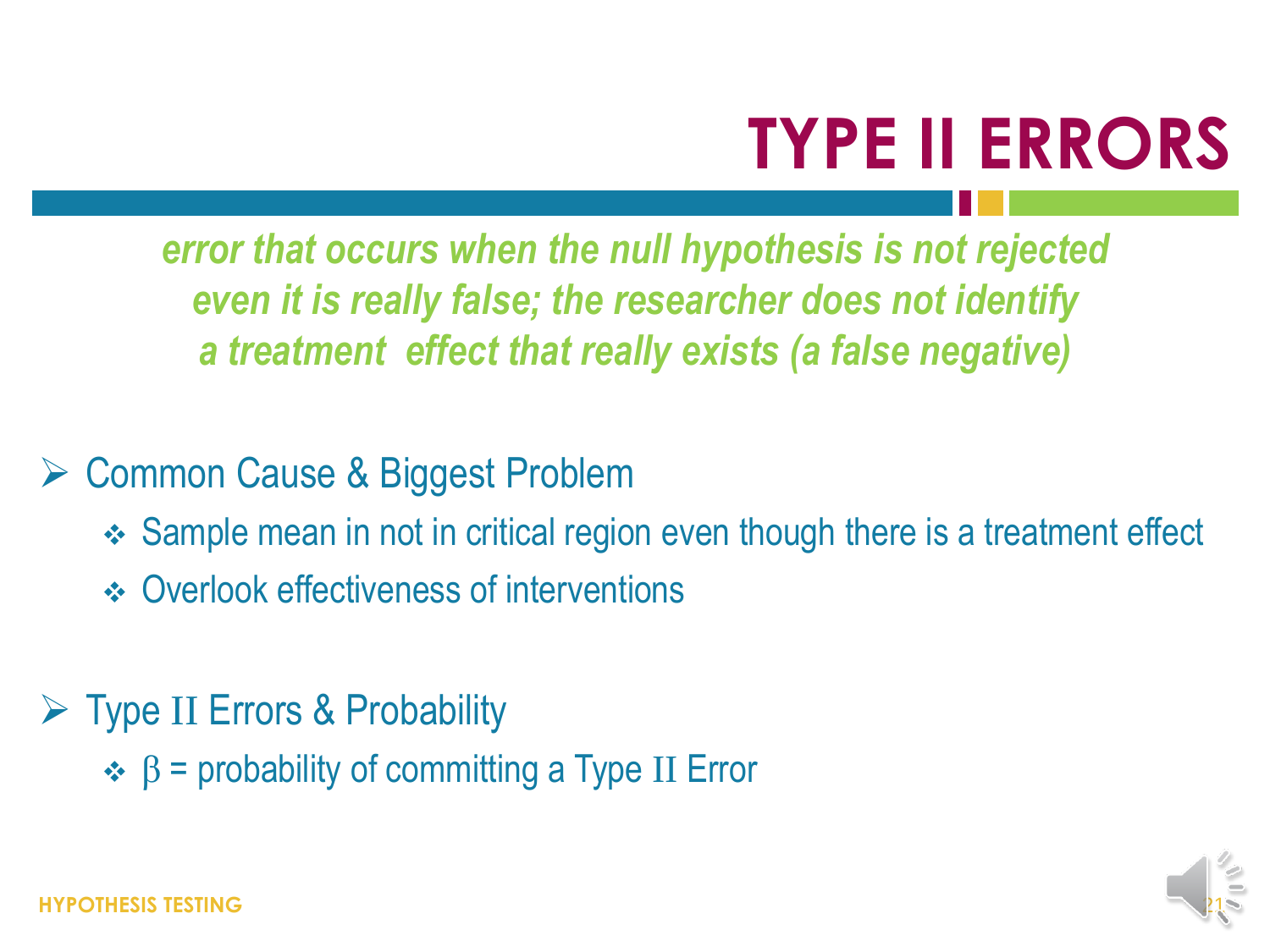## **TYPE II ERRORS**

*error that occurs when the null hypothesis is not rejected even it is really false; the researcher does not identify a treatment effect that really exists (a false negative)*

#### Common Cause & Biggest Problem

- Sample mean in not in critical region even though there is a treatment effect
- **❖ Overlook effectiveness of interventions**
- $\triangleright$  Type II Errors & Probability
	- $\div$  β = probability of committing a Type II Error

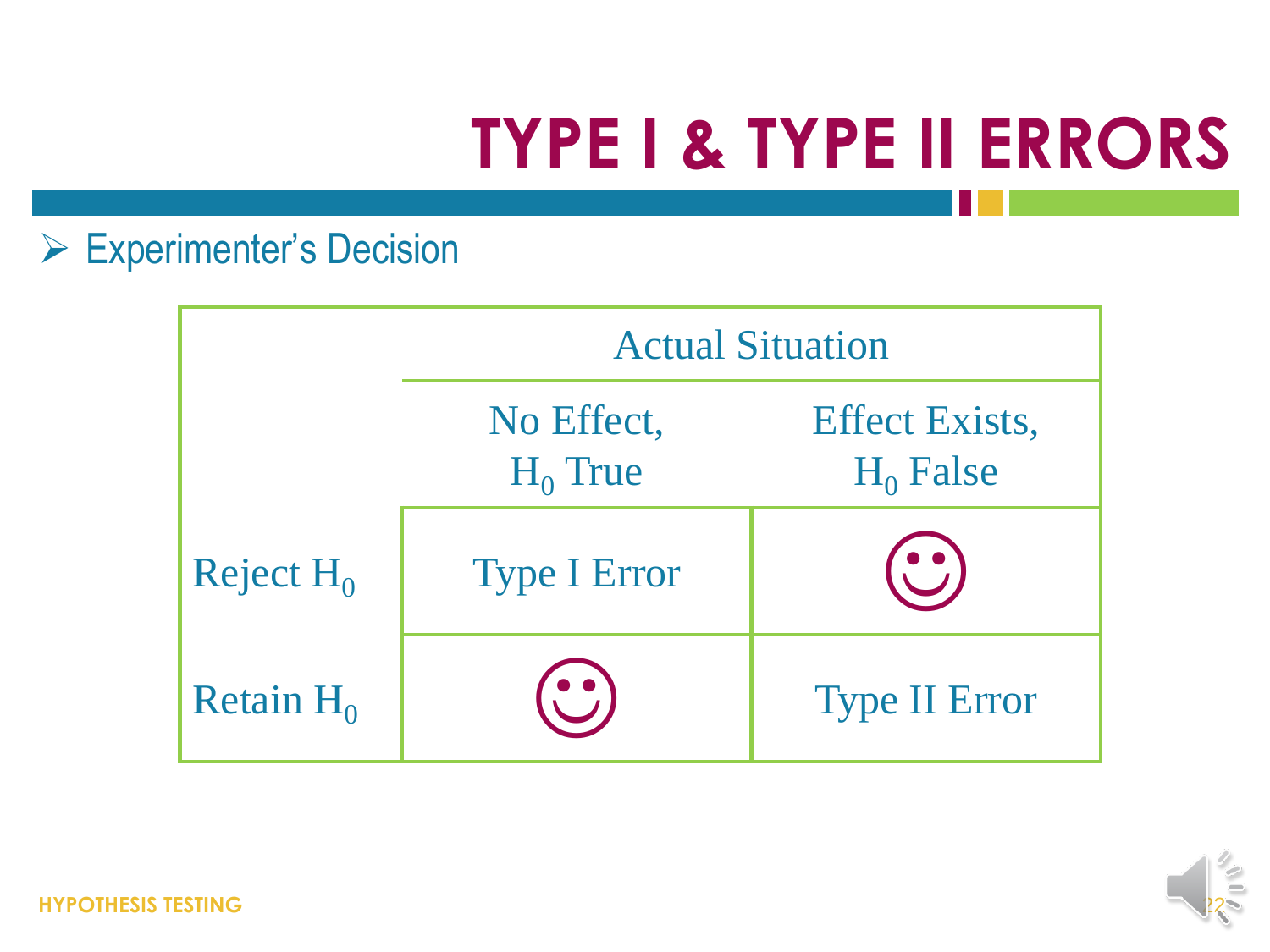# **TYPE I & TYPE II ERRORS**

#### Experimenter's Decision

|              | <b>Actual Situation</b>  |                                      |
|--------------|--------------------------|--------------------------------------|
|              | No Effect,<br>$H_0$ True | <b>Effect Exists,</b><br>$H_0$ False |
| Reject $H_0$ | <b>Type I Error</b>      |                                      |
| Retain $H_0$ |                          | <b>Type II Error</b>                 |

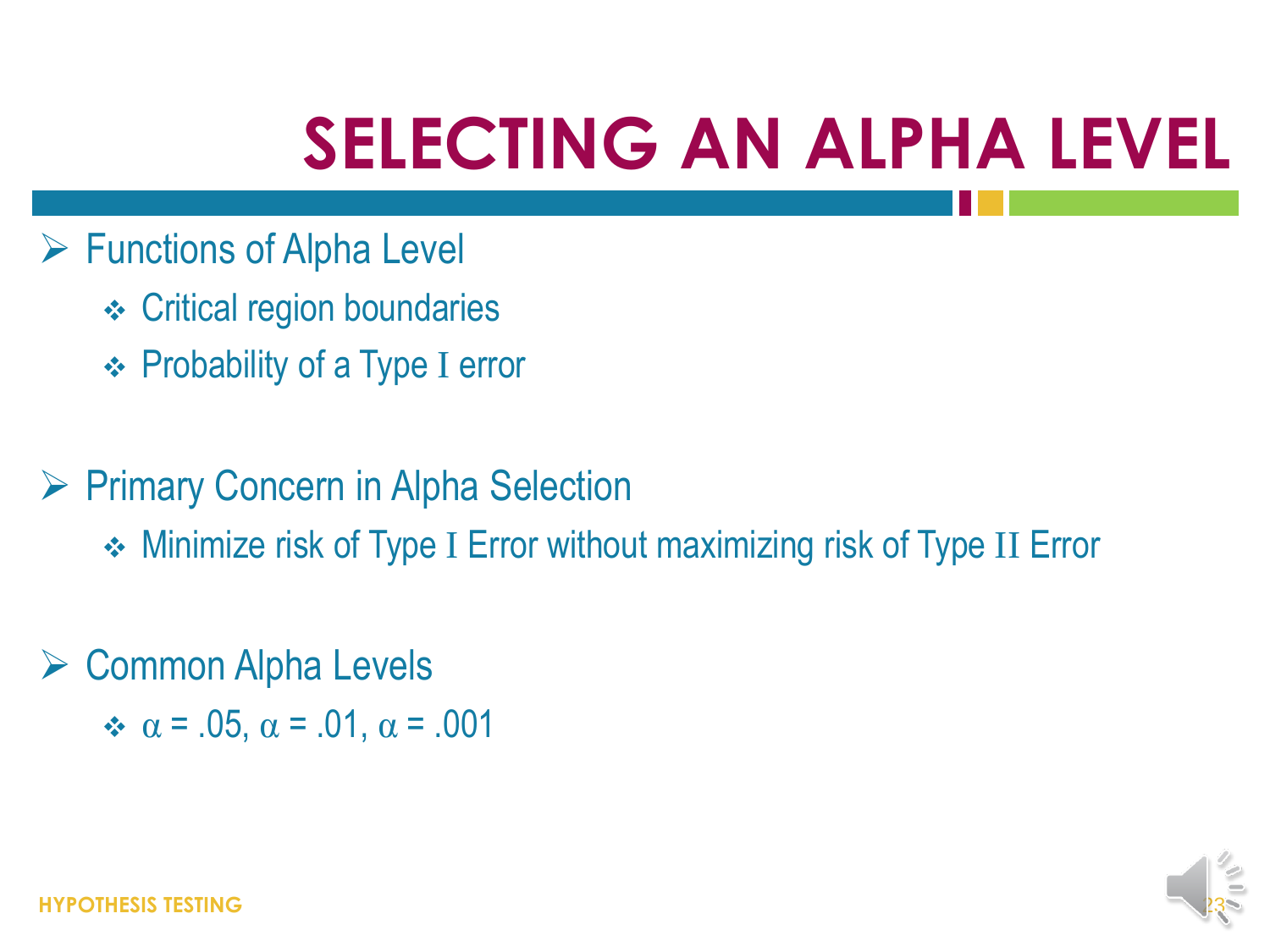## **SELECTING AN ALPHA LEVEL**

- $\triangleright$  Functions of Alpha Level
	- **← Critical region boundaries**
	- **← Probability of a Type I error**
- ▶ Primary Concern in Alpha Selection
	- Minimize risk of Type I Error without maximizing risk of Type II Error
- $\triangleright$  Common Alpha Levels  $\div \alpha = .05$ ,  $\alpha = .01$ ,  $\alpha = .001$

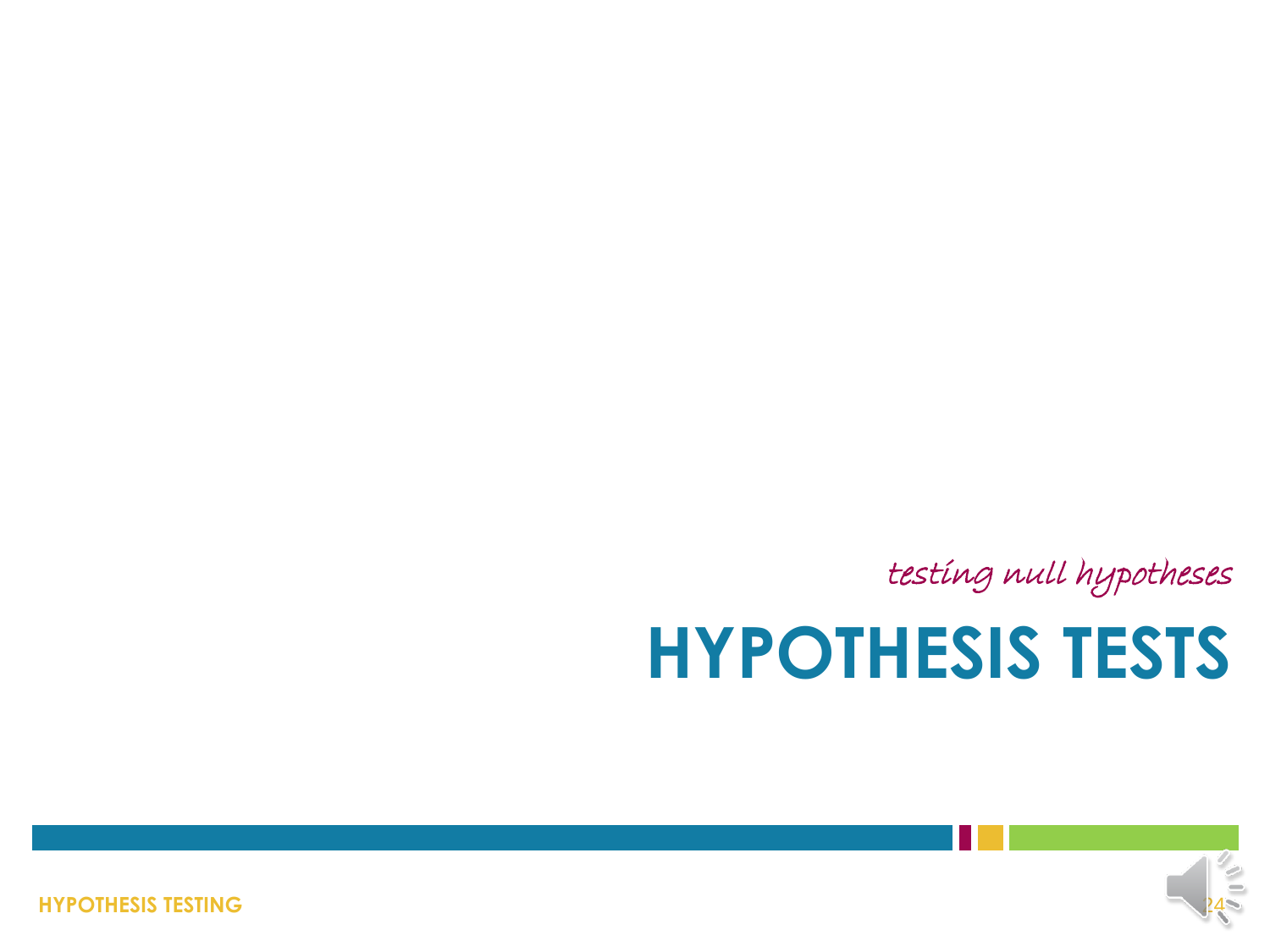**HYPOTHESIS TESTING**



# **HYPOTHESIS TESTS**

testing null hypotheses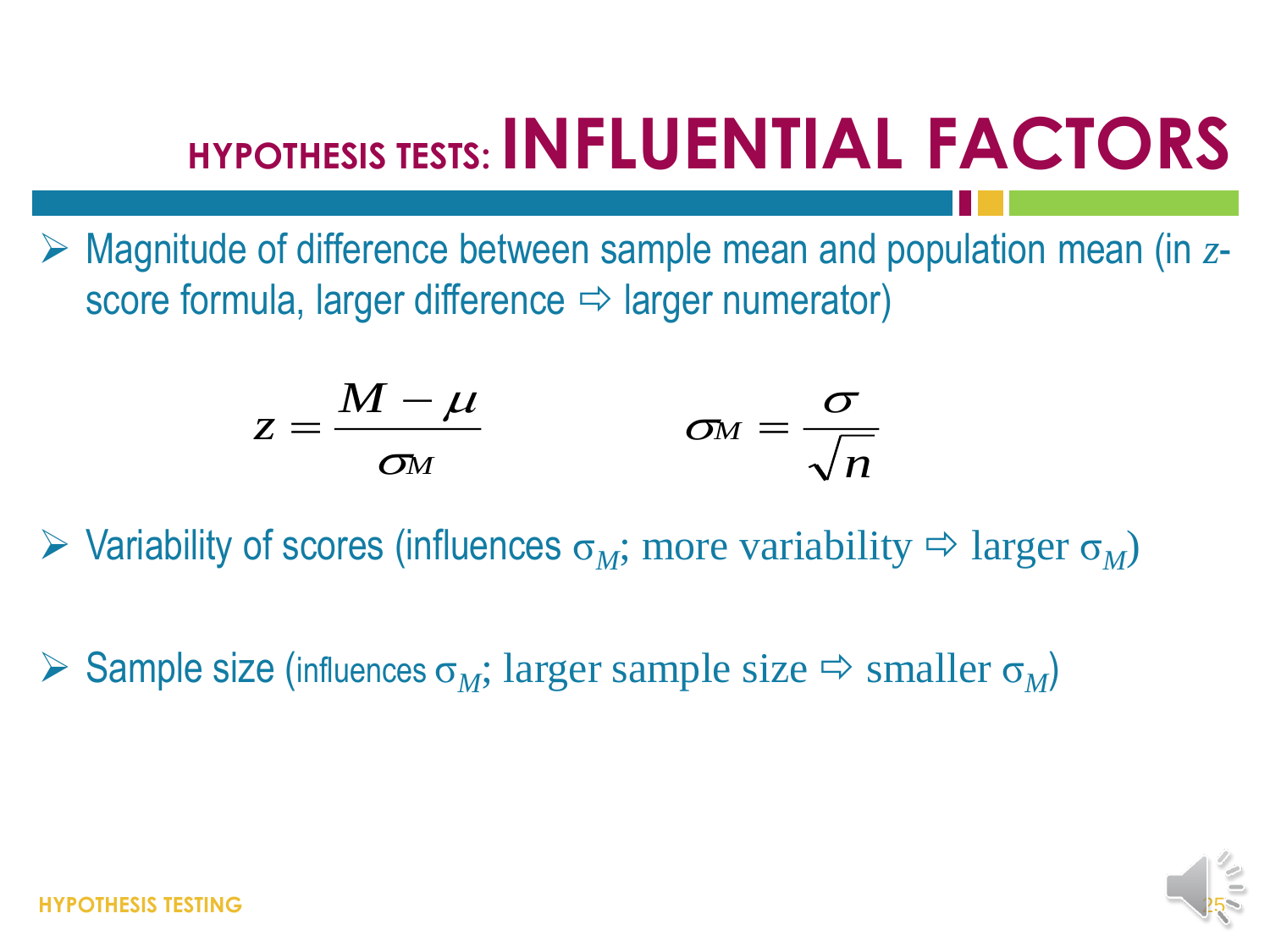### **HYPOTHESIS TESTS: INFLUENTIAL FACTORS**

 Magnitude of difference between sample mean and population mean (in *z*score formula, larger difference  $\Rightarrow$  larger numerator)

$$
z = \frac{M - \mu}{\sigma_M} \qquad \qquad \sigma_M = \frac{\sigma}{\sqrt{n}}
$$

 $\triangleright$  Variability of scores (influences  $\sigma_M$ ; more variability  $\Rightarrow$  larger  $\sigma_M$ )

 $\triangleright$  Sample size (influences  $\sigma_M$ ; larger sample size  $\Rightarrow$  smaller  $\sigma_M$ )

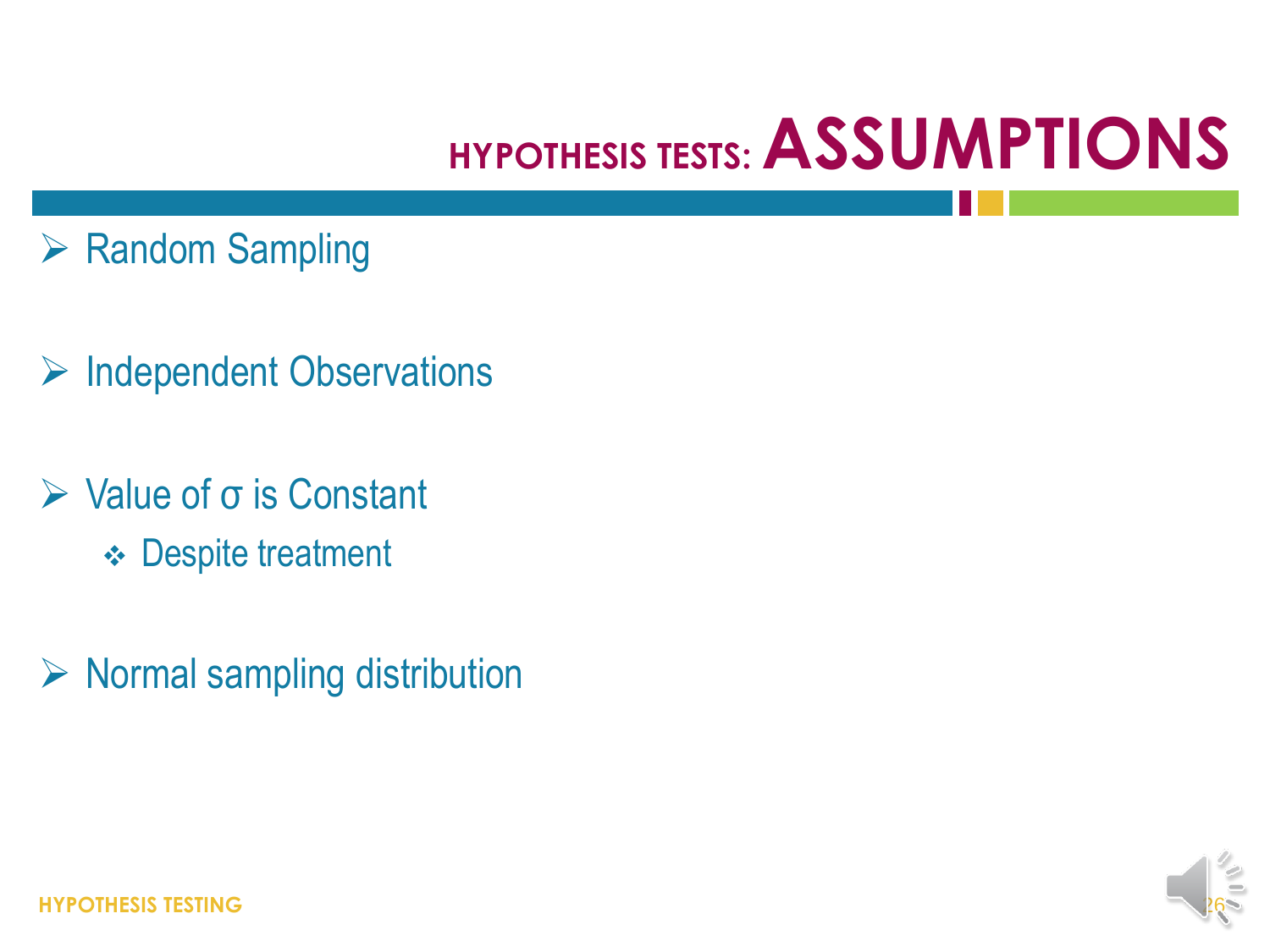### **HYPOTHESIS TESTS: ASSUMPTIONS**

- ▶ Random Sampling
- $\triangleright$  Independent Observations
- $\triangleright$  Value of  $\sigma$  is Constant
	- **❖ Despite treatment**
- $\triangleright$  Normal sampling distribution



**HYPOTHESIS TESTING**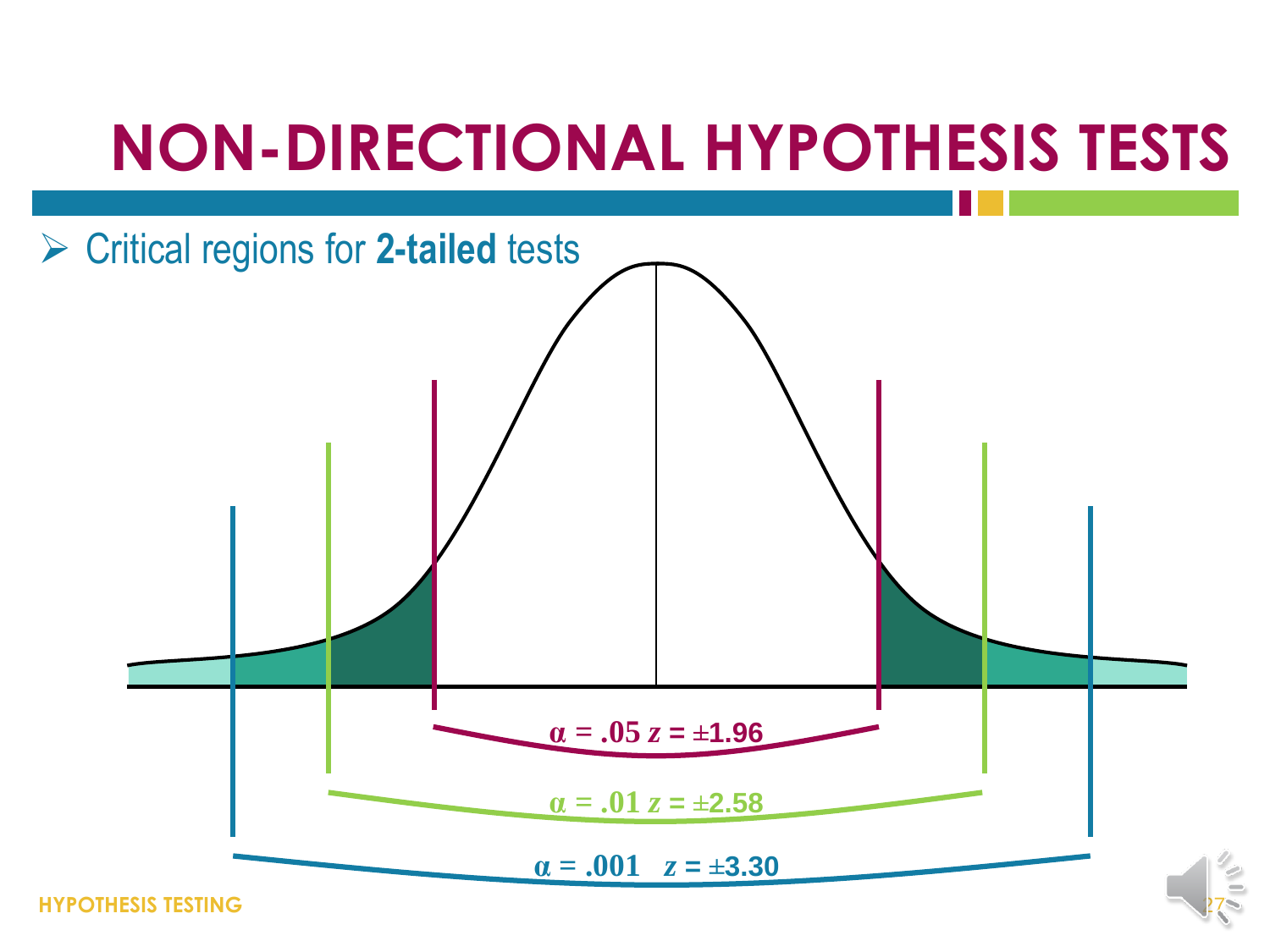#### **NON-DIRECTIONAL HYPOTHESIS TESTS**



**HYPOTHESIS TESTING**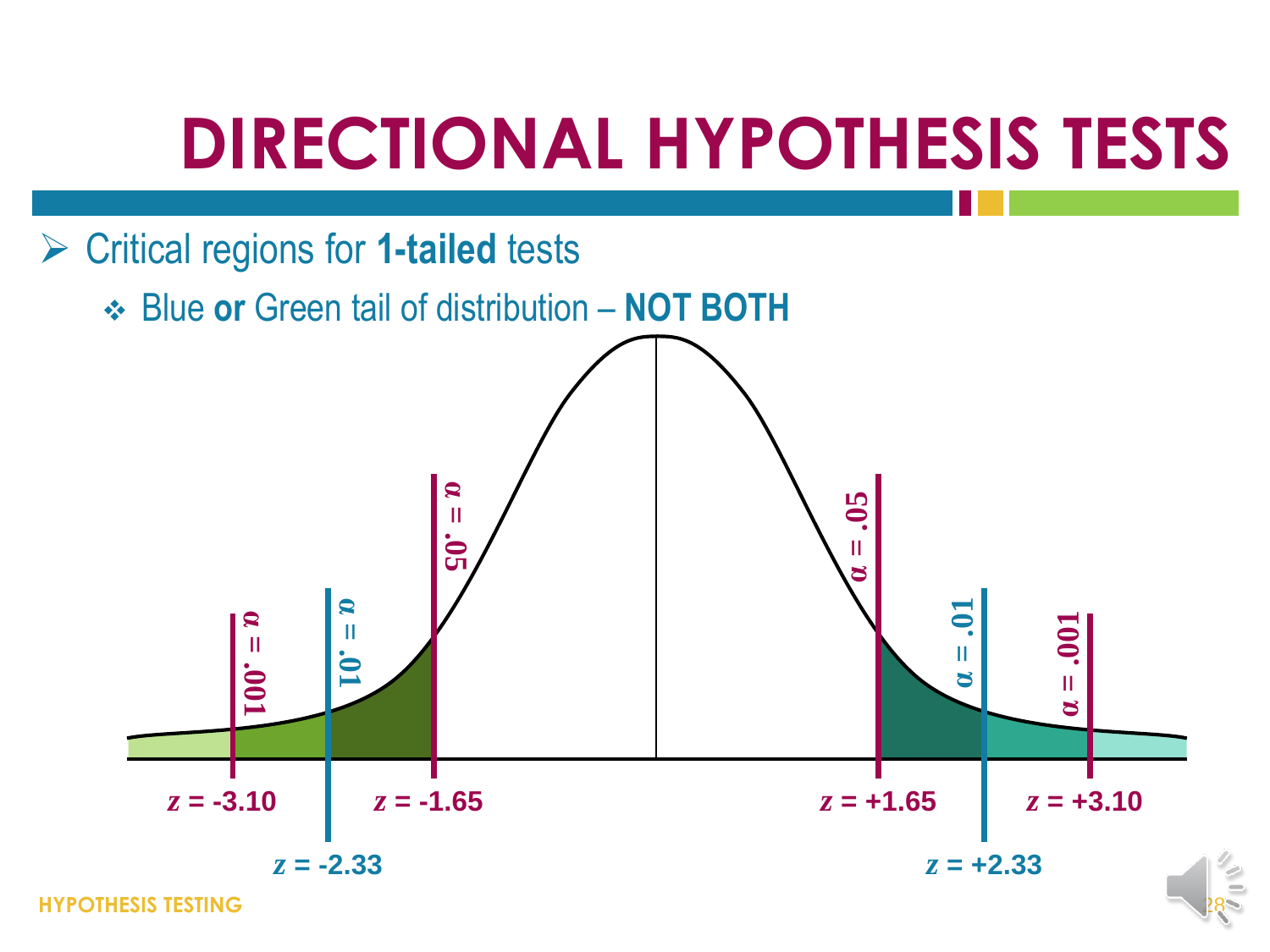### **DIRECTIONAL HYPOTHESIS TESTS**



**HYPOTHESIS TESTING**

28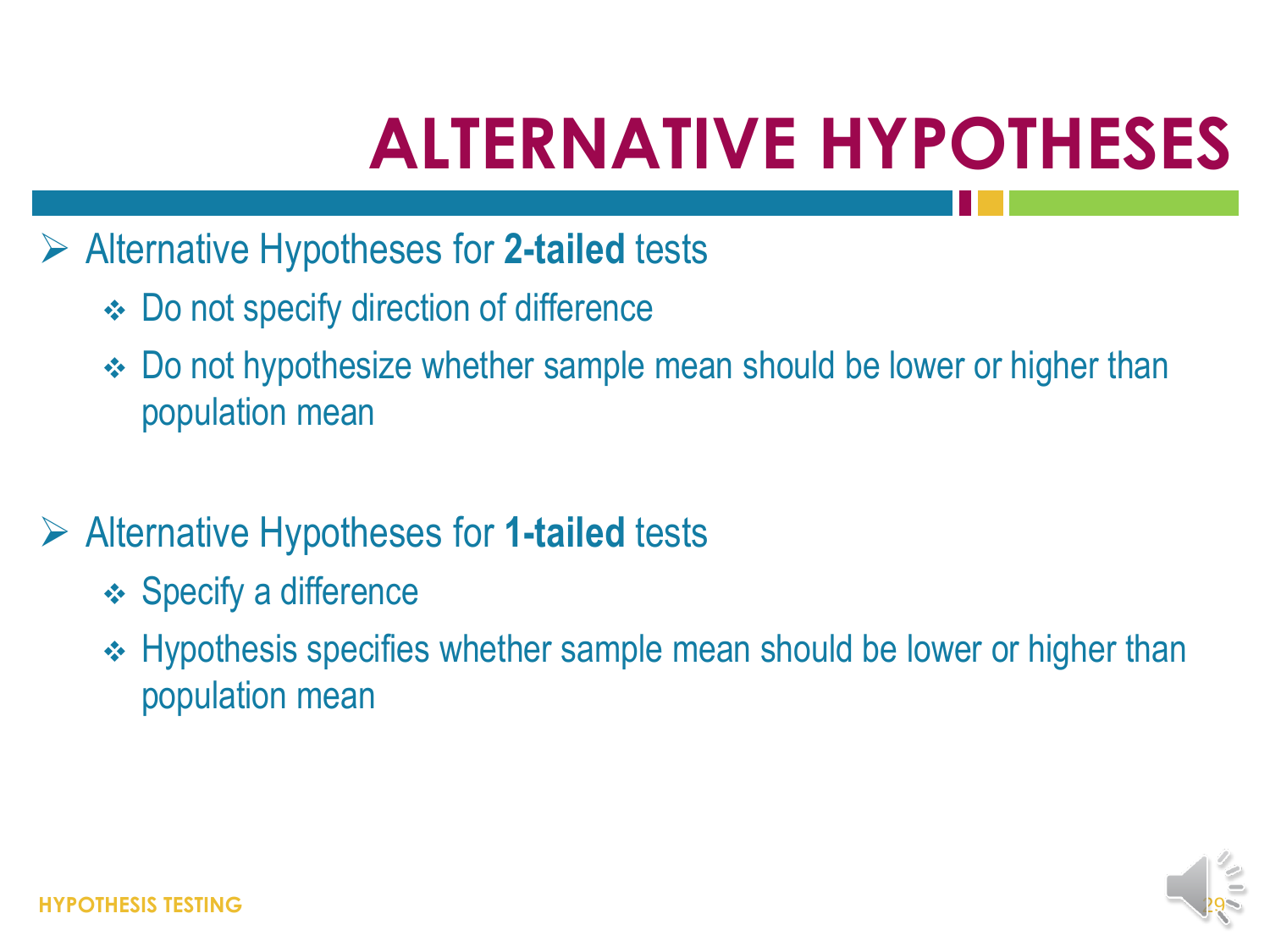### **ALTERNATIVE HYPOTHESES**

- Alternative Hypotheses for **2-tailed** tests
	- Do not specify direction of difference
	- Do not hypothesize whether sample mean should be lower or higher than population mean
- Alternative Hypotheses for **1-tailed** tests
	- **❖ Specify a difference**
	- ◆ Hypothesis specifies whether sample mean should be lower or higher than population mean

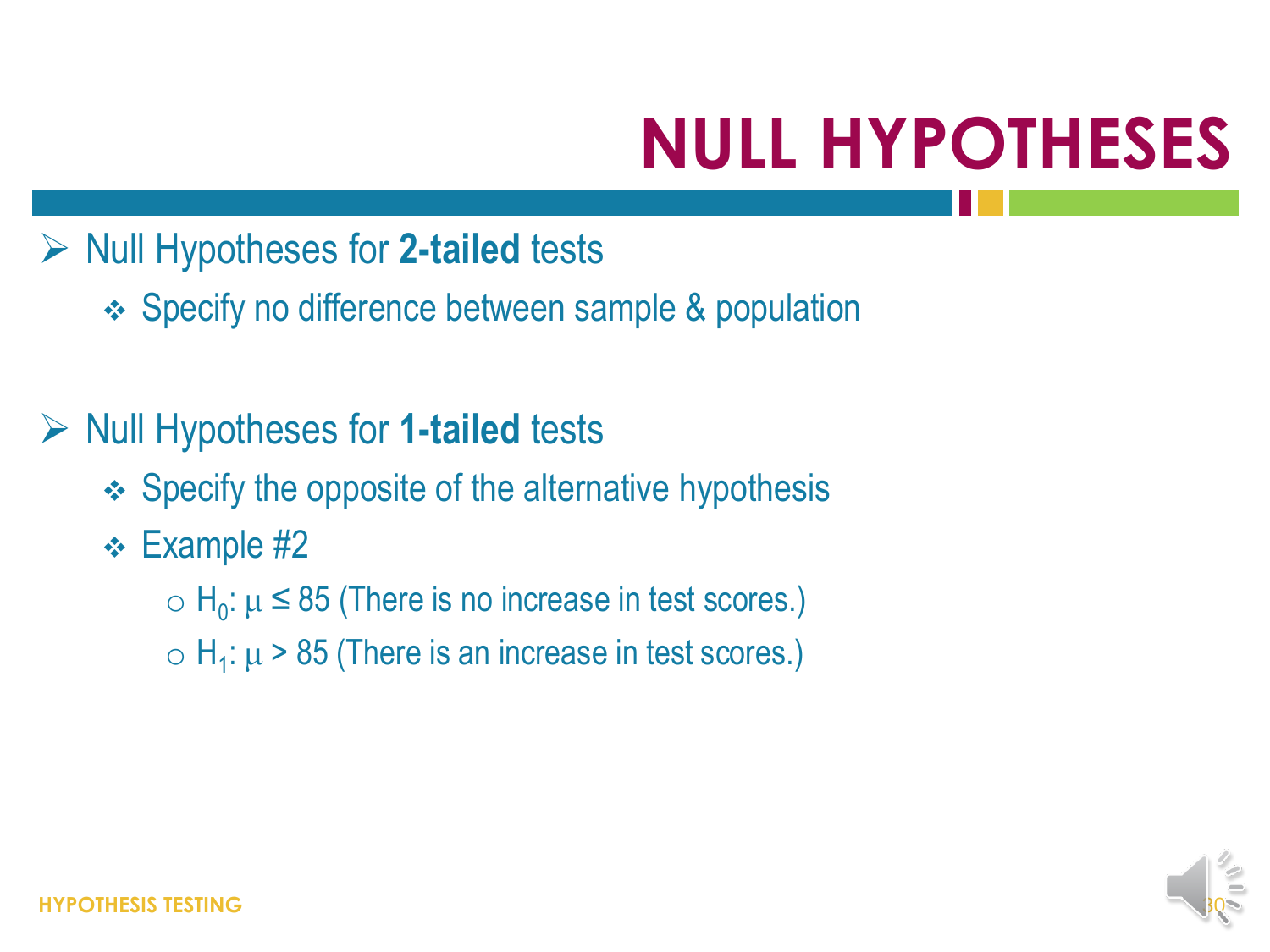# **NULL HYPOTHESES**

#### **▶ Null Hypotheses for 2-tailed tests**

Specify no difference between sample & population

#### Null Hypotheses for **1-tailed** tests

- $\div$  Specify the opposite of the alternative hypothesis
- **← Example #2** 
	- $\circ$  H<sub>0</sub>:  $\mu \le 85$  (There is no increase in test scores.)
	- $\circ$  H<sub>1</sub>:  $\mu$  > 85 (There is an increase in test scores.)

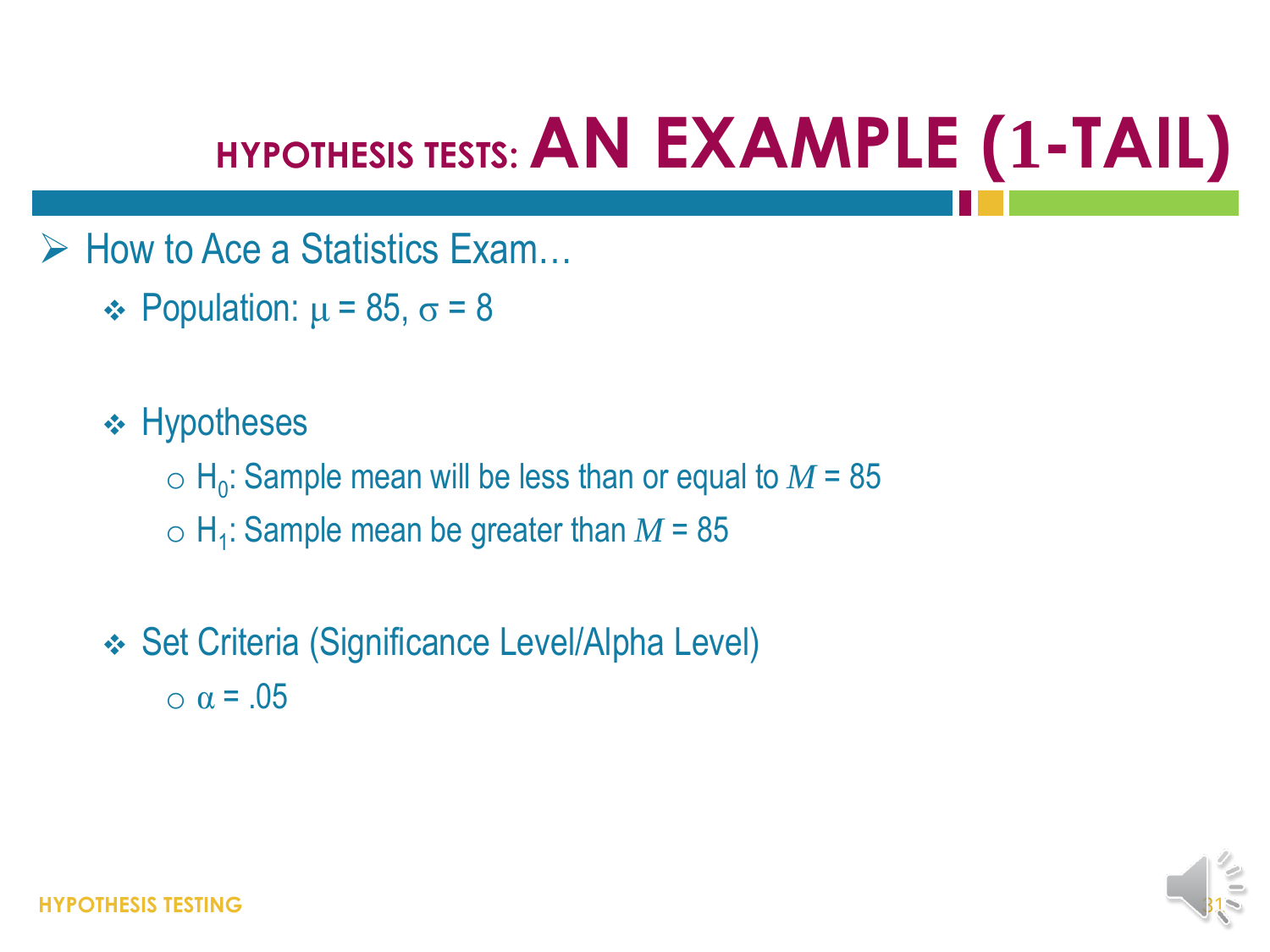### **HYPOTHESIS TESTS: AN EXAMPLE (1-TAIL)**

- $\triangleright$  How to Ace a Statistics Exam...
	- $\div$  Population:  $\mu$  = 85,  $\sigma$  = 8
	- $\div$  Hypotheses
		- $\circ$  H<sub>0</sub>: Sample mean will be less than or equal to  $M$  = 85
		- $\circ$  H<sub>1</sub>: Sample mean be greater than  $M$  = 85
	- Set Criteria (Significance Level/Alpha Level)  $\alpha$  = .05

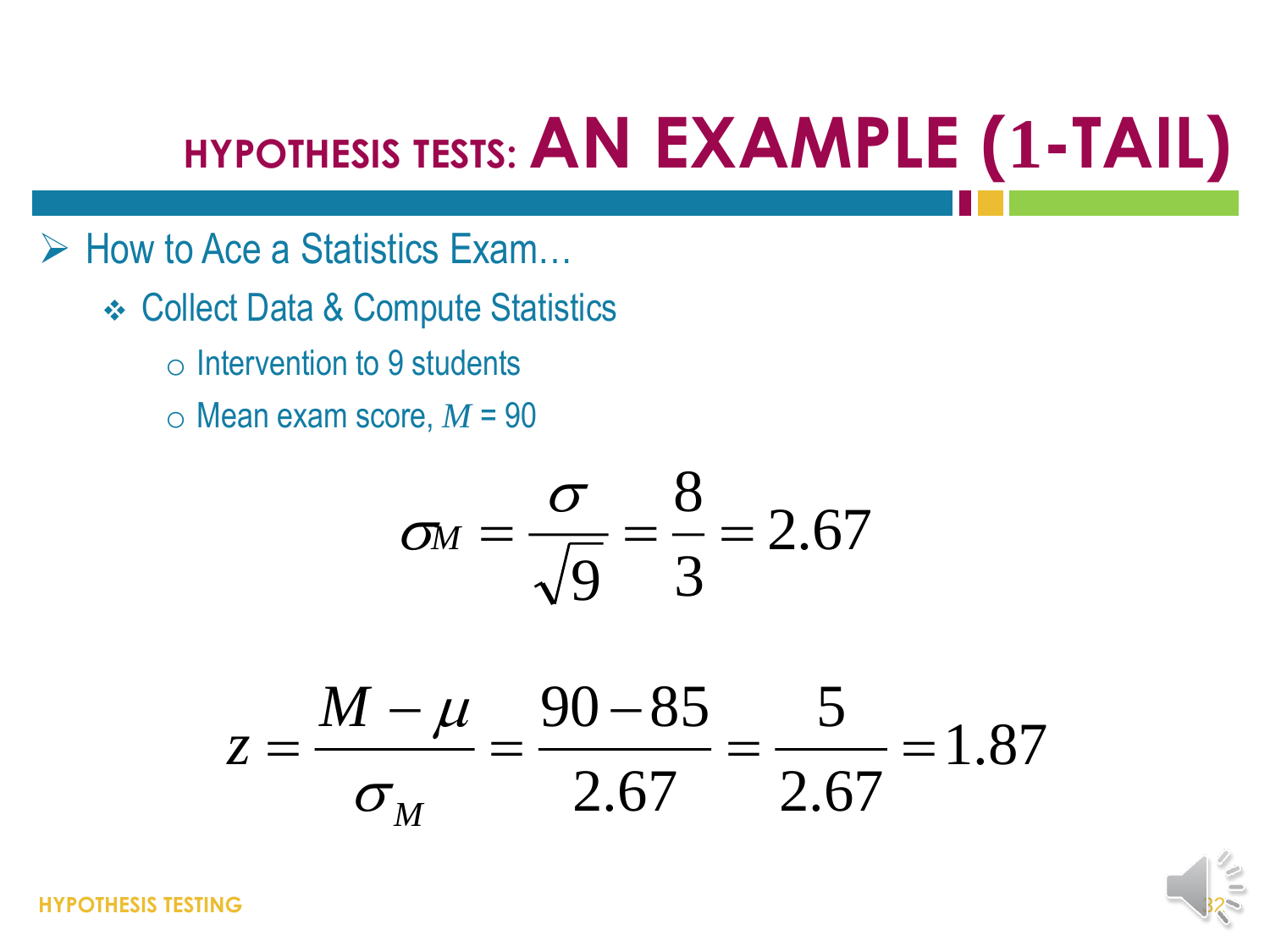### **HYPOTHESIS TESTS: AN EXAMPLE (1-TAIL)**

- $\triangleright$  How to Ace a Statistics Exam...
	- Collect Data & Compute Statistics
		- o Intervention to 9 students
		- $\circ$  Mean exam score,  $M = 90$

$$
\sigma_M = \frac{\sigma}{\sqrt{9}} = \frac{8}{3} = 2.67
$$

$$
\sigma_M = \frac{0}{\sqrt{9}} = \frac{0}{3} = 2.67
$$
  

$$
z = \frac{M - \mu}{\sigma_M} = \frac{90 - 85}{2.67} = \frac{5}{2.67} = 1.87
$$

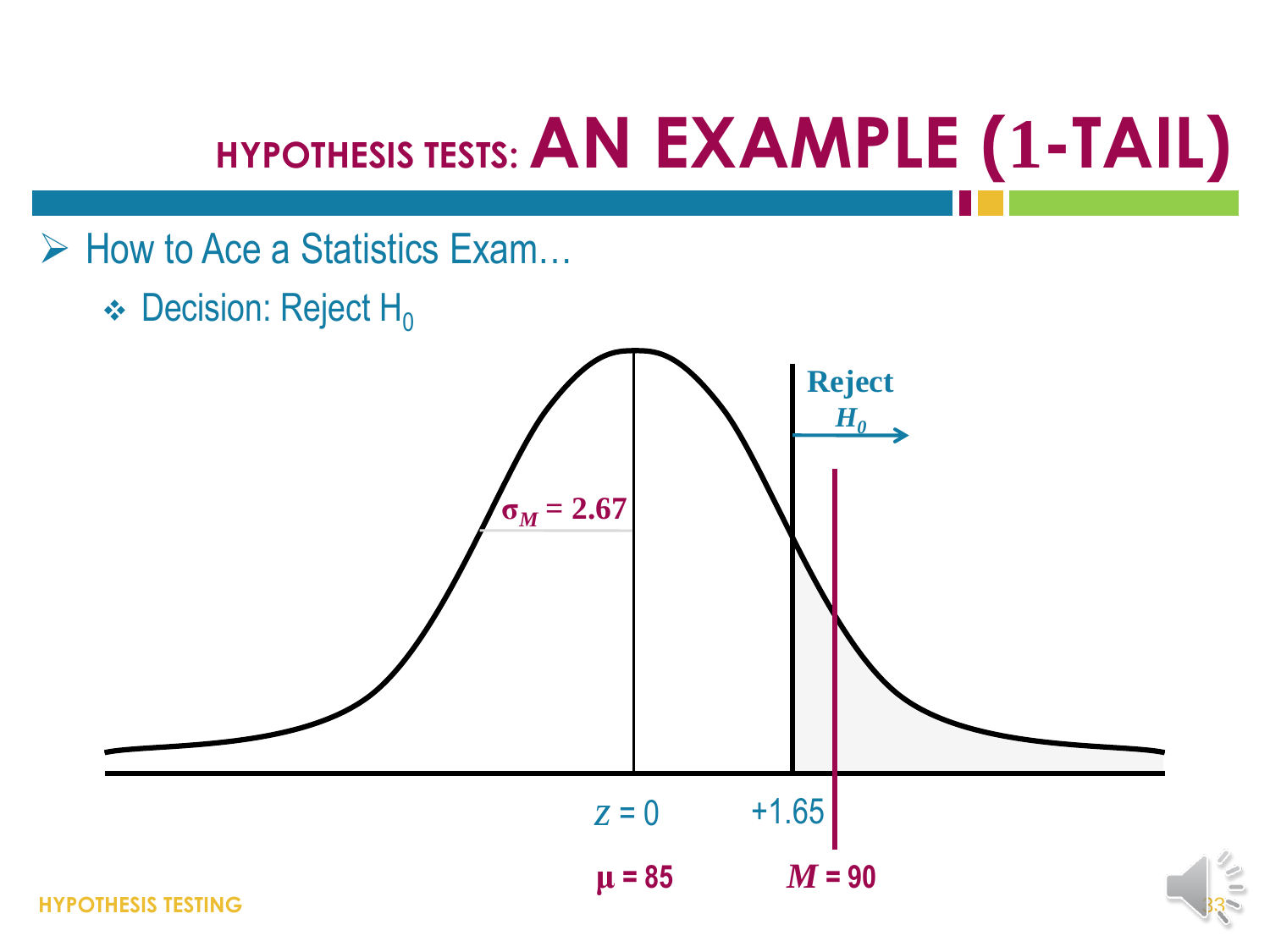### **HYPOTHESIS TESTS: AN EXAMPLE (1-TAIL)**

- $\triangleright$  How to Ace a Statistics Exam...
	- $\div$  Decision: Reject H<sub>0</sub>

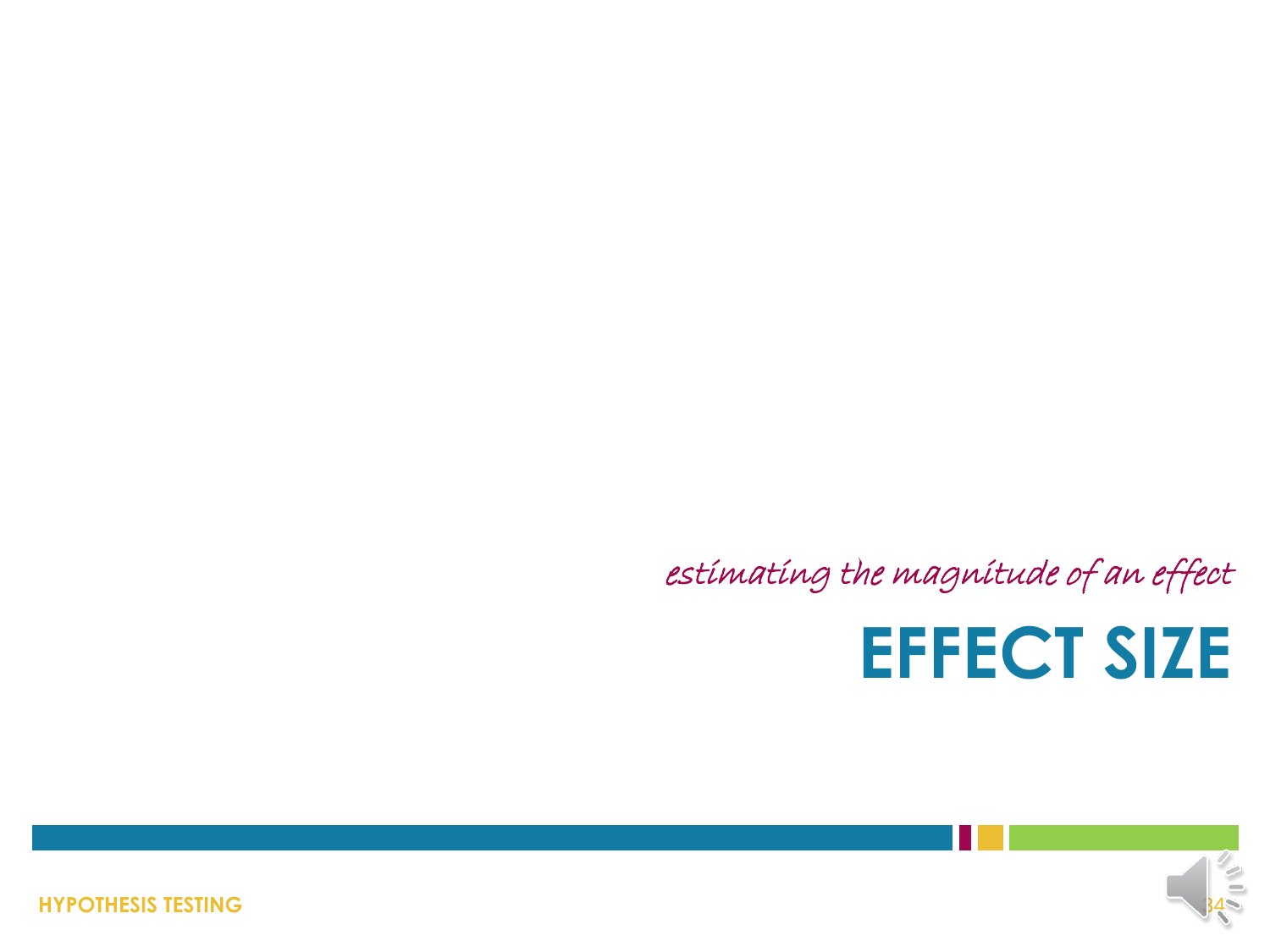estimating the magnitude of an effect

### **EFFECT SIZE**



**HYPOTHESIS TESTING**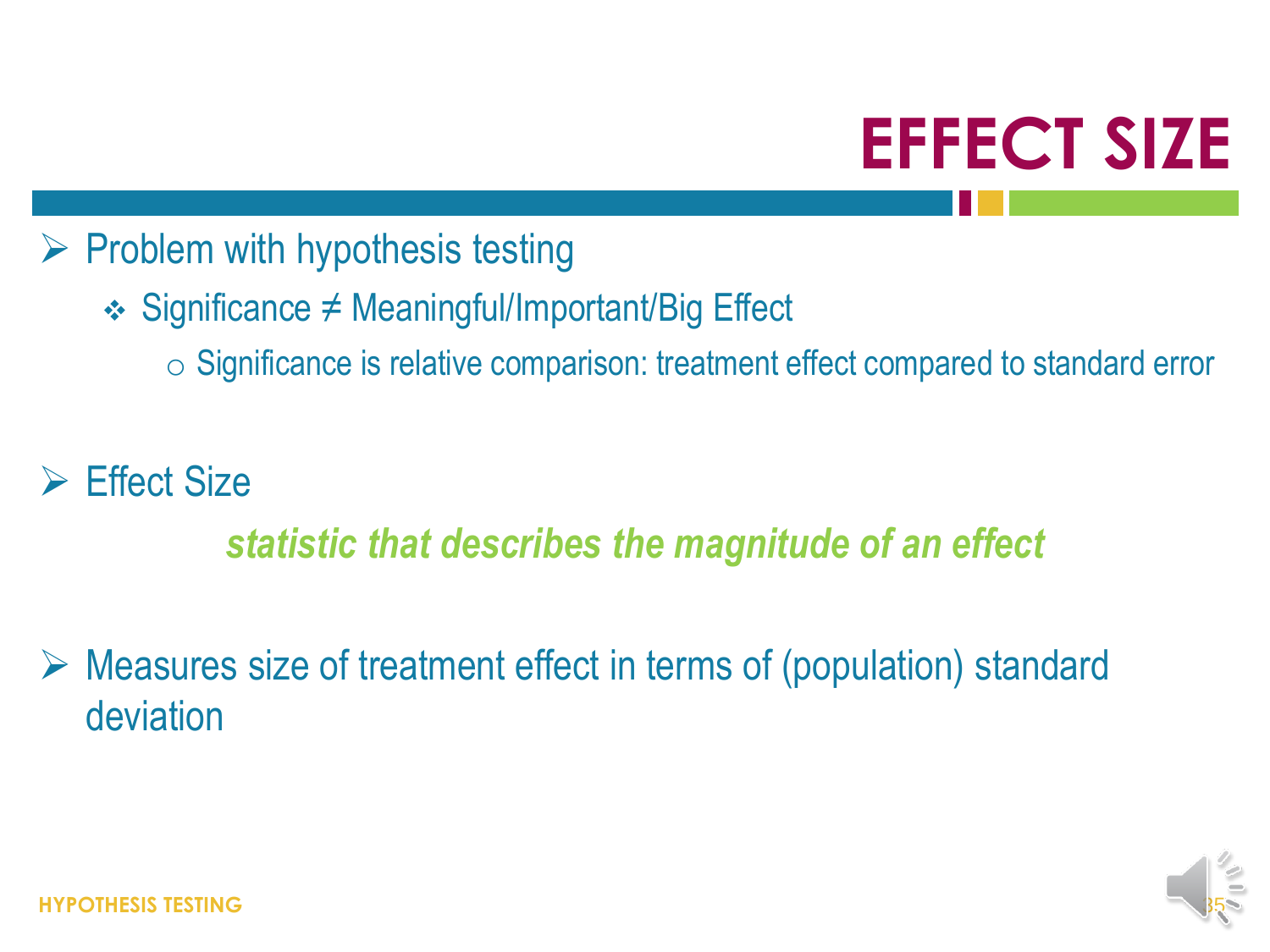## **EFFECT SIZE**

#### $\triangleright$  Problem with hypothesis testing

- Significance ≠ Meaningful/Important/Big Effect
	- o Significance is relative comparison: treatment effect compared to standard error

#### Effect Size

#### *statistic that describes the magnitude of an effect*

 Measures size of treatment effect in terms of (population) standard deviation

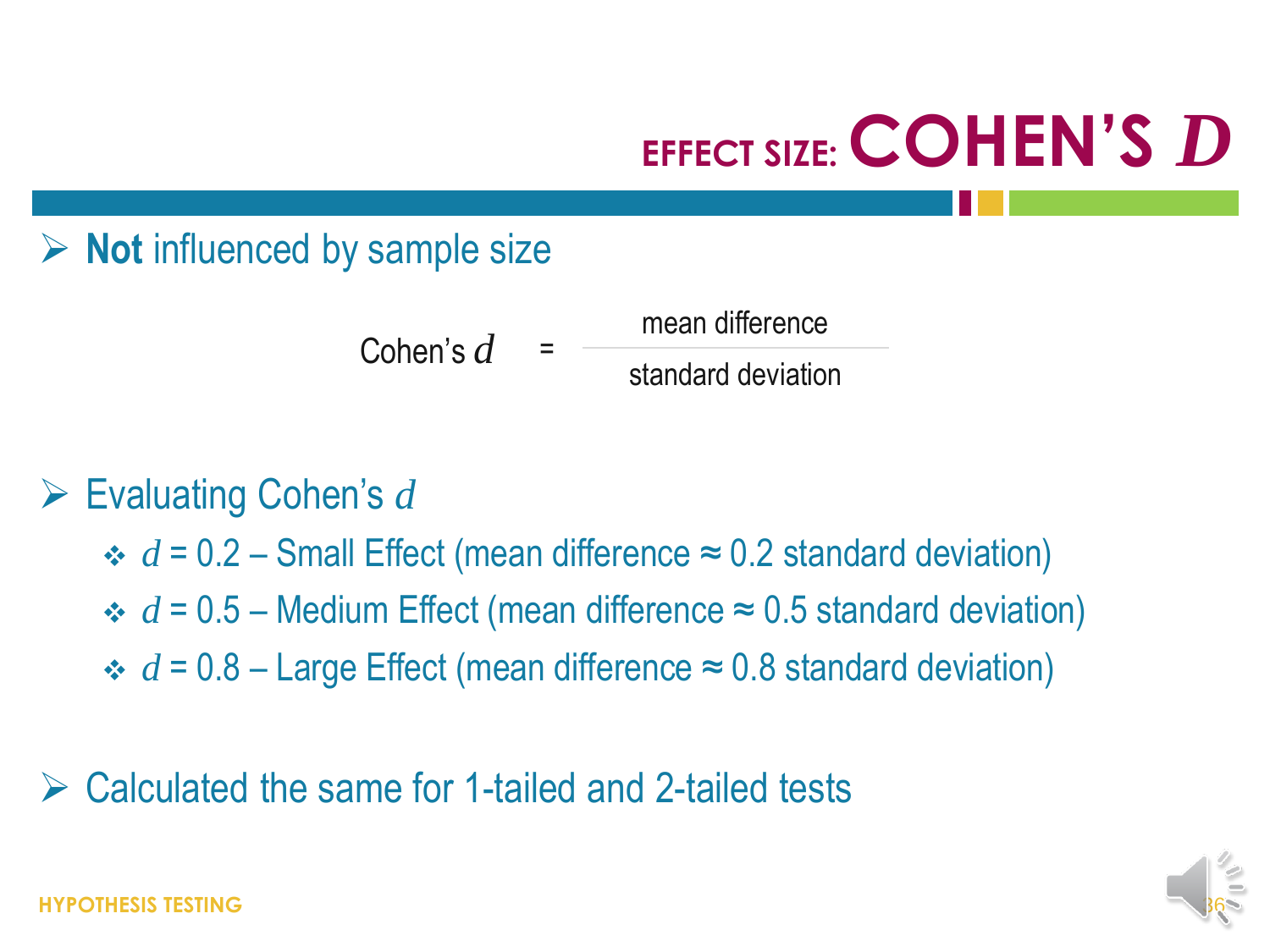## **EFFECT SIZE: COHEN'S** *D*

#### **EXEC** Not influenced by sample size

Cohen's  $d$ mean difference standard deviation

#### Evaluating Cohen's *d*

 $\div d = 0.2$  – Small Effect (mean difference  $\approx 0.2$  standard deviation)

 $\div d = 0.5$  – Medium Effect (mean difference  $\approx 0.5$  standard deviation)

 $\div d = 0.8$  – Large Effect (mean difference  $\approx 0.8$  standard deviation)

#### Calculated the same for 1-tailed and 2-tailed tests

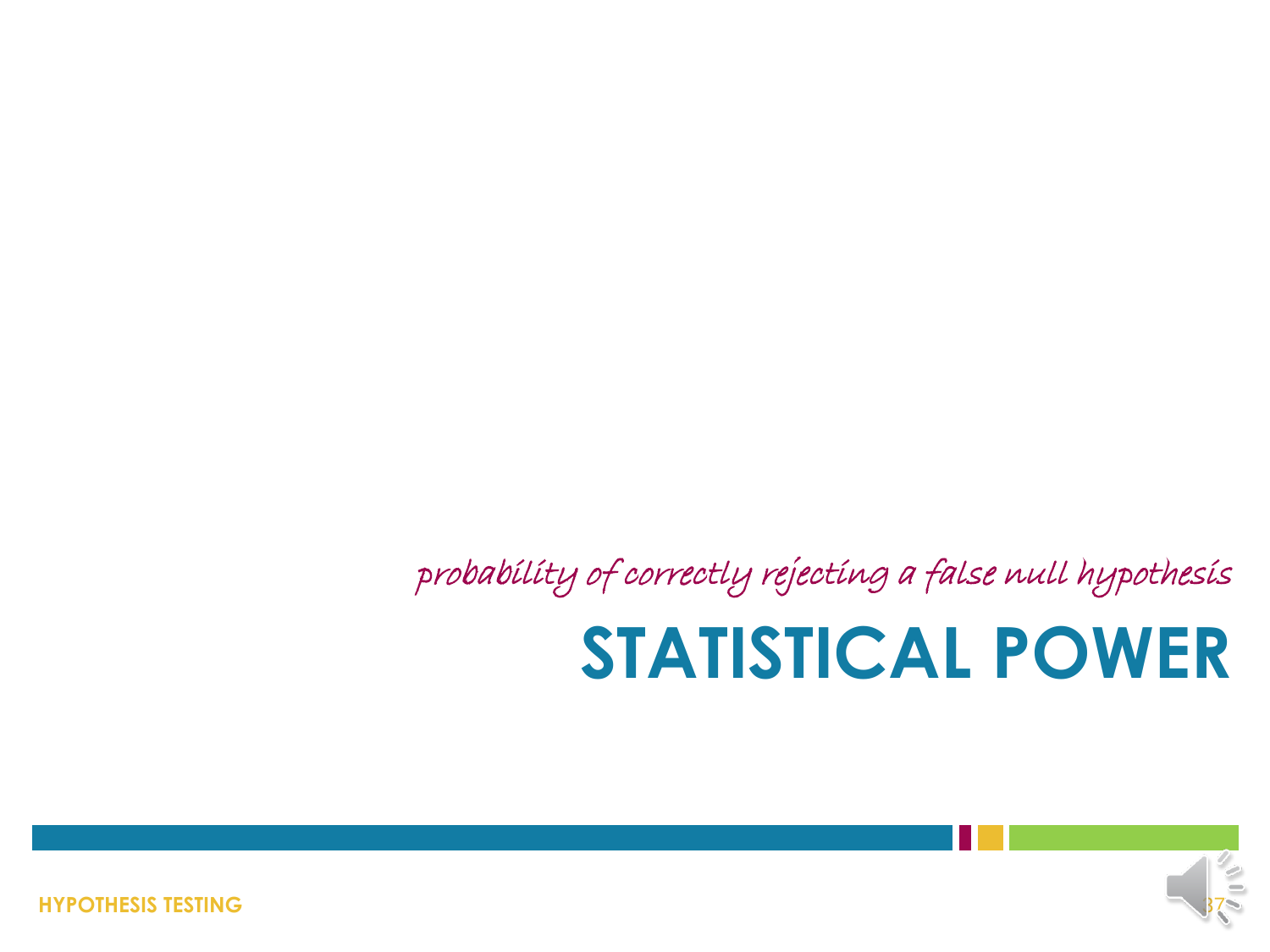**STATISTICAL POWER** probability of correctly rejecting a false null hypothesis



**HYPOTHESIS TESTING**